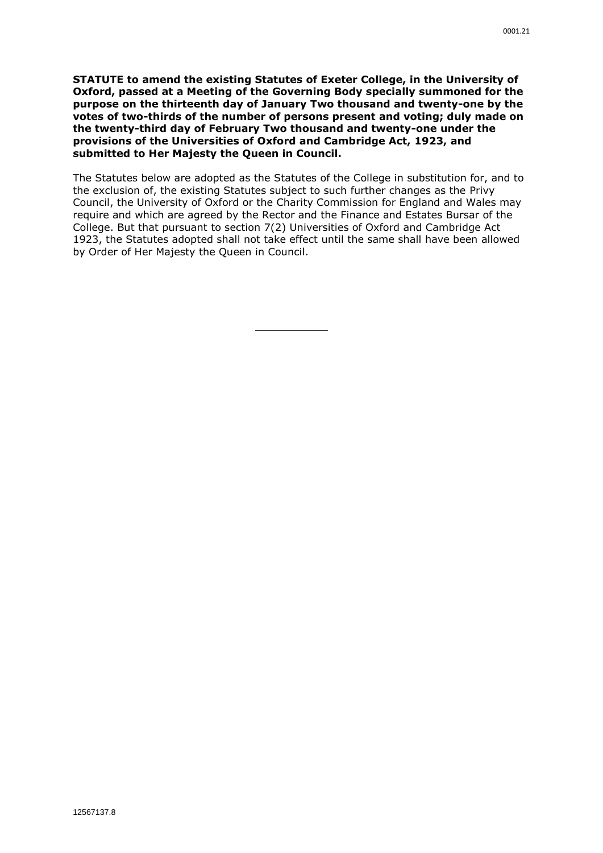**STATUTE to amend the existing Statutes of Exeter College, in the University of Oxford, passed at a Meeting of the Governing Body specially summoned for the purpose on the thirteenth day of January Two thousand and twenty-one by the votes of two-thirds of the number of persons present and voting; duly made on the twenty-third day of February Two thousand and twenty-one under the provisions of the Universities of Oxford and Cambridge Act, 1923, and submitted to Her Majesty the Queen in Council.**

The Statutes below are adopted as the Statutes of the College in substitution for, and to the exclusion of, the existing Statutes subject to such further changes as the Privy Council, the University of Oxford or the Charity Commission for England and Wales may require and which are agreed by the Rector and the Finance and Estates Bursar of the College. But that pursuant to section 7(2) Universities of Oxford and Cambridge Act 1923, the Statutes adopted shall not take effect until the same shall have been allowed by Order of Her Majesty the Queen in Council.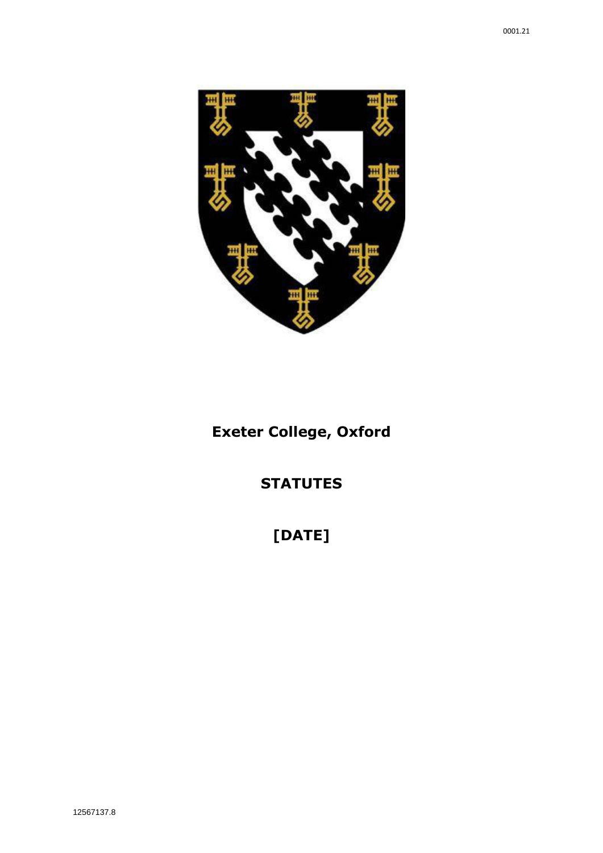

# **Exeter College, Oxford**

# **STATUTES**

# **[DATE]**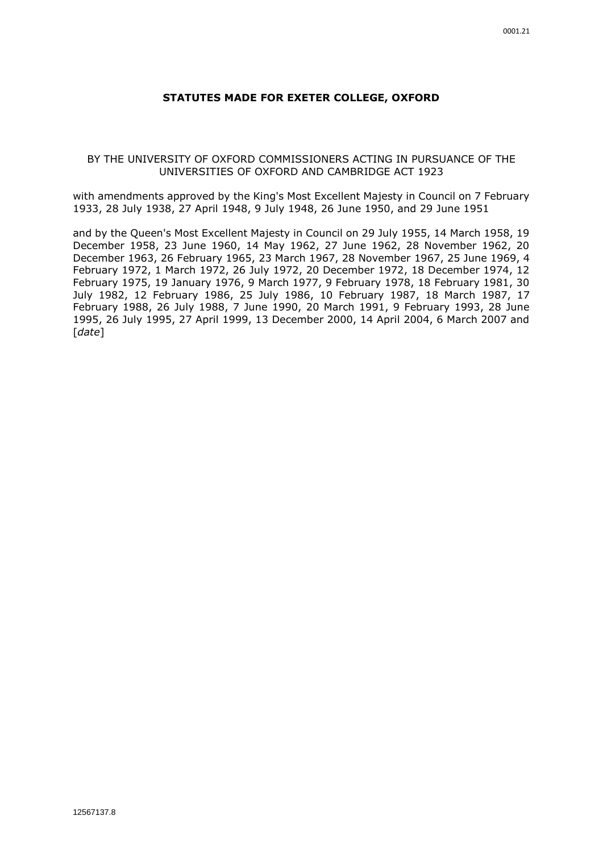#### **STATUTES MADE FOR EXETER COLLEGE, OXFORD**

#### BY THE UNIVERSITY OF OXFORD COMMISSIONERS ACTING IN PURSUANCE OF THE UNIVERSITIES OF OXFORD AND CAMBRIDGE ACT 1923

with amendments approved by the King's Most Excellent Majesty in Council on 7 February 1933, 28 July 1938, 27 April 1948, 9 July 1948, 26 June 1950, and 29 June 1951

and by the Queen's Most Excellent Majesty in Council on 29 July 1955, 14 March 1958, 19 December 1958, 23 June 1960, 14 May 1962, 27 June 1962, 28 November 1962, 20 December 1963, 26 February 1965, 23 March 1967, 28 November 1967, 25 June 1969, 4 February 1972, 1 March 1972, 26 July 1972, 20 December 1972, 18 December 1974, 12 February 1975, 19 January 1976, 9 March 1977, 9 February 1978, 18 February 1981, 30 July 1982, 12 February 1986, 25 July 1986, 10 February 1987, 18 March 1987, 17 February 1988, 26 July 1988, 7 June 1990, 20 March 1991, 9 February 1993, 28 June 1995, 26 July 1995, 27 April 1999, 13 December 2000, 14 April 2004, 6 March 2007 and [*date*]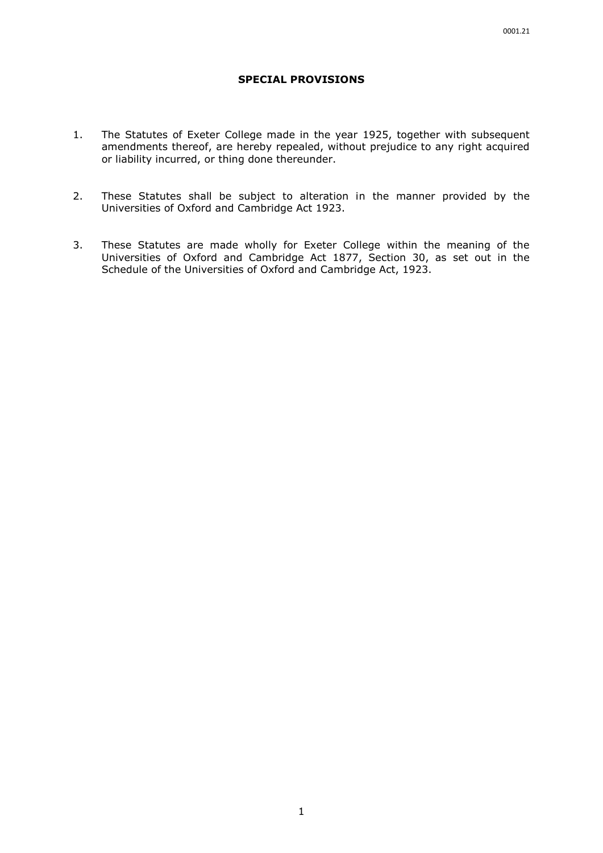#### **SPECIAL PROVISIONS**

- 1. The Statutes of Exeter College made in the year 1925, together with subsequent amendments thereof, are hereby repealed, without prejudice to any right acquired or liability incurred, or thing done thereunder.
- 2. These Statutes shall be subject to alteration in the manner provided by the Universities of Oxford and Cambridge Act 1923.
- 3. These Statutes are made wholly for Exeter College within the meaning of the Universities of Oxford and Cambridge Act 1877, Section 30, as set out in the Schedule of the Universities of Oxford and Cambridge Act, 1923.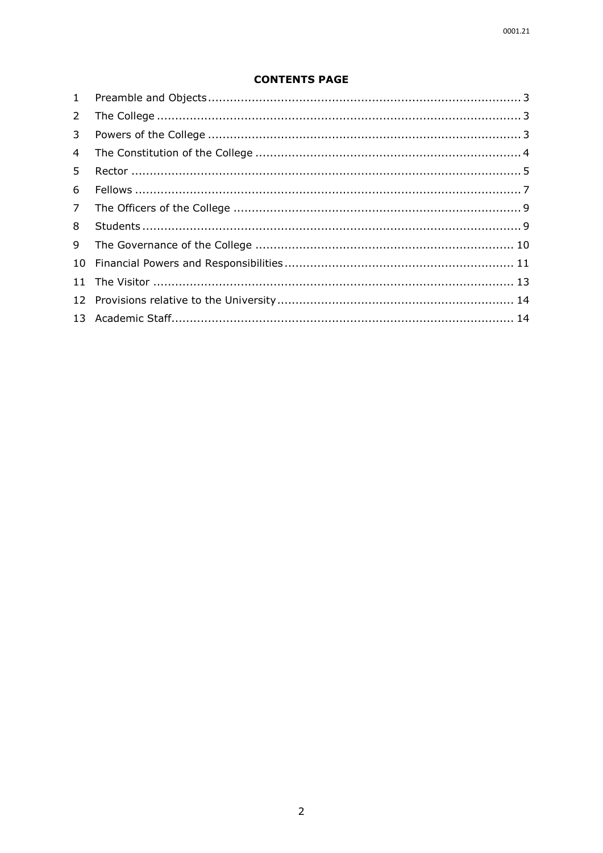# **CONTENTS PAGE**

| $2^{\circ}$    |  |
|----------------|--|
| 3 <sup>7</sup> |  |
| 4 <sup>1</sup> |  |
| 5.             |  |
| 6              |  |
|                |  |
| 8              |  |
|                |  |
|                |  |
|                |  |
|                |  |
|                |  |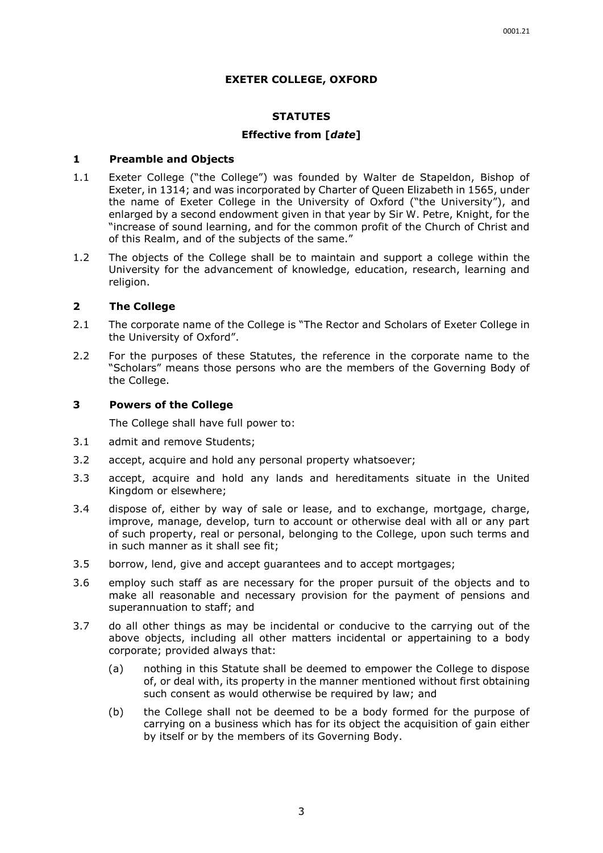#### **EXETER COLLEGE, OXFORD**

#### **STATUTES**

#### **Effective from [***date***]**

#### <span id="page-5-0"></span>**1 Preamble and Objects**

- 1.1 Exeter College ("the College") was founded by Walter de Stapeldon, Bishop of Exeter, in 1314; and was incorporated by Charter of Queen Elizabeth in 1565, under the name of Exeter College in the University of Oxford ("the University"), and enlarged by a second endowment given in that year by Sir W. Petre, Knight, for the "increase of sound learning, and for the common profit of the Church of Christ and of this Realm, and of the subjects of the same."
- 1.2 The objects of the College shall be to maintain and support a college within the University for the advancement of knowledge, education, research, learning and religion.

# <span id="page-5-1"></span>**2 The College**

- 2.1 The corporate name of the College is "The Rector and Scholars of Exeter College in the University of Oxford".
- 2.2 For the purposes of these Statutes, the reference in the corporate name to the "Scholars" means those persons who are the members of the Governing Body of the College.

#### <span id="page-5-2"></span>**3 Powers of the College**

The College shall have full power to:

- 3.1 admit and remove Students;
- 3.2 accept, acquire and hold any personal property whatsoever;
- 3.3 accept, acquire and hold any lands and hereditaments situate in the United Kingdom or elsewhere;
- 3.4 dispose of, either by way of sale or lease, and to exchange, mortgage, charge, improve, manage, develop, turn to account or otherwise deal with all or any part of such property, real or personal, belonging to the College, upon such terms and in such manner as it shall see fit;
- 3.5 borrow, lend, give and accept guarantees and to accept mortgages;
- 3.6 employ such staff as are necessary for the proper pursuit of the objects and to make all reasonable and necessary provision for the payment of pensions and superannuation to staff; and
- 3.7 do all other things as may be incidental or conducive to the carrying out of the above objects, including all other matters incidental or appertaining to a body corporate; provided always that:
	- (a) nothing in this Statute shall be deemed to empower the College to dispose of, or deal with, its property in the manner mentioned without first obtaining such consent as would otherwise be required by law; and
	- (b) the College shall not be deemed to be a body formed for the purpose of carrying on a business which has for its object the acquisition of gain either by itself or by the members of its Governing Body.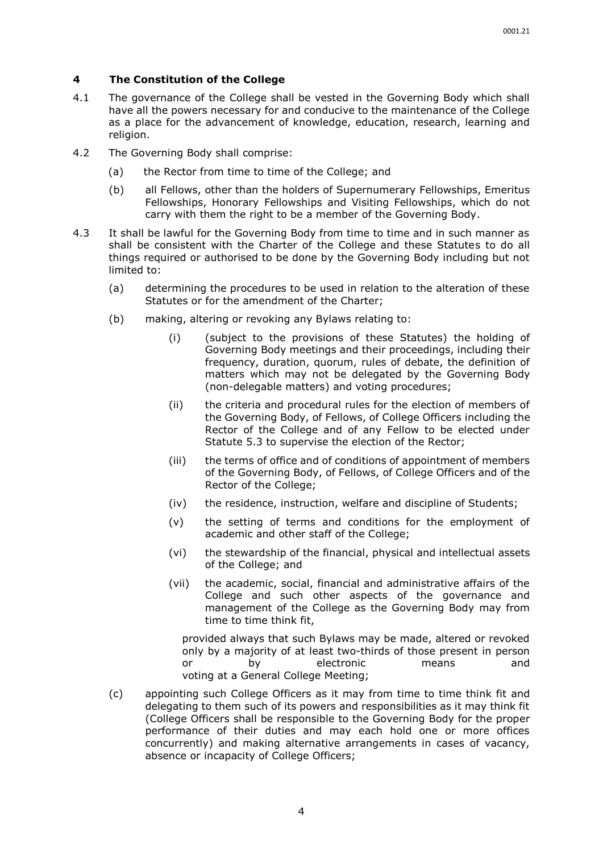### <span id="page-6-0"></span>**4 The Constitution of the College**

- 4.1 The governance of the College shall be vested in the Governing Body which shall have all the powers necessary for and conducive to the maintenance of the College as a place for the advancement of knowledge, education, research, learning and religion.
- 4.2 The Governing Body shall comprise:
	- (a) the Rector from time to time of the College; and
	- (b) all Fellows, other than the holders of Supernumerary Fellowships, Emeritus Fellowships, Honorary Fellowships and Visiting Fellowships, which do not carry with them the right to be a member of the Governing Body.
- 4.3 It shall be lawful for the Governing Body from time to time and in such manner as shall be consistent with the Charter of the College and these Statutes to do all things required or authorised to be done by the Governing Body including but not limited to:
	- (a) determining the procedures to be used in relation to the alteration of these Statutes or for the amendment of the Charter;
	- (b) making, altering or revoking any Bylaws relating to:
		- (i) (subject to the provisions of these Statutes) the holding of Governing Body meetings and their proceedings, including their frequency, duration, quorum, rules of debate, the definition of matters which may not be delegated by the Governing Body (non-delegable matters) and voting procedures;
		- (ii) the criteria and procedural rules for the election of members of the Governing Body, of Fellows, of College Officers including the Rector of the College and of any Fellow to be elected under Statute [5.3](#page-8-0) to supervise the election of the Rector;
		- (iii) the terms of office and of conditions of appointment of members of the Governing Body, of Fellows, of College Officers and of the Rector of the College;
		- (iv) the residence, instruction, welfare and discipline of Students;
		- (v) the setting of terms and conditions for the employment of academic and other staff of the College;
		- (vi) the stewardship of the financial, physical and intellectual assets of the College; and
		- (vii) the academic, social, financial and administrative affairs of the College and such other aspects of the governance and management of the College as the Governing Body may from time to time think fit,

provided always that such Bylaws may be made, altered or revoked only by a majority of at least two-thirds of those present in person or by electronic means and voting at a General College Meeting;

(c) appointing such College Officers as it may from time to time think fit and delegating to them such of its powers and responsibilities as it may think fit (College Officers shall be responsible to the Governing Body for the proper performance of their duties and may each hold one or more offices concurrently) and making alternative arrangements in cases of vacancy, absence or incapacity of College Officers;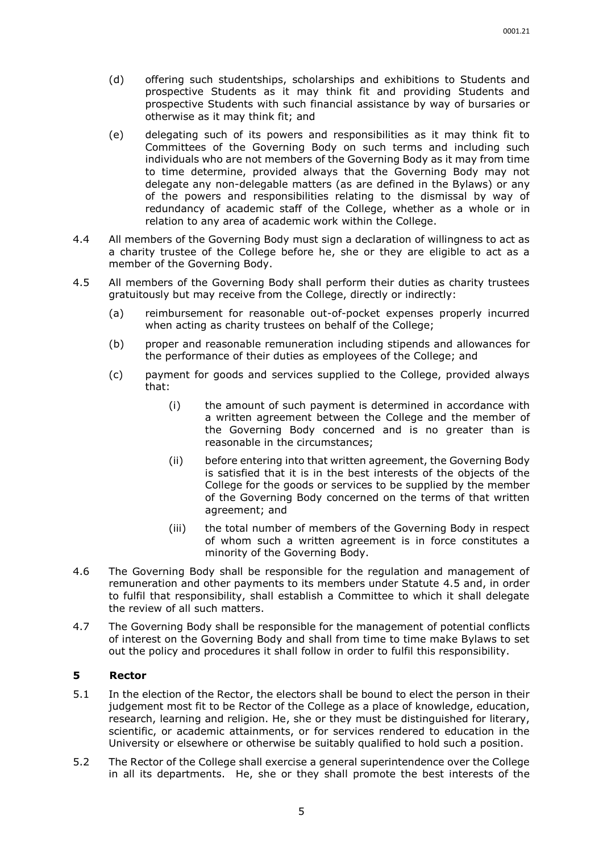- (d) offering such studentships, scholarships and exhibitions to Students and prospective Students as it may think fit and providing Students and prospective Students with such financial assistance by way of bursaries or otherwise as it may think fit; and
- (e) delegating such of its powers and responsibilities as it may think fit to Committees of the Governing Body on such terms and including such individuals who are not members of the Governing Body as it may from time to time determine, provided always that the Governing Body may not delegate any non-delegable matters (as are defined in the Bylaws) or any of the powers and responsibilities relating to the dismissal by way of redundancy of academic staff of the College, whether as a whole or in relation to any area of academic work within the College.
- <span id="page-7-2"></span>4.4 All members of the Governing Body must sign a declaration of willingness to act as a charity trustee of the College before he, she or they are eligible to act as a member of the Governing Body.
- <span id="page-7-1"></span>4.5 All members of the Governing Body shall perform their duties as charity trustees gratuitously but may receive from the College, directly or indirectly:
	- (a) reimbursement for reasonable out-of-pocket expenses properly incurred when acting as charity trustees on behalf of the College;
	- (b) proper and reasonable remuneration including stipends and allowances for the performance of their duties as employees of the College; and
	- (c) payment for goods and services supplied to the College, provided always that:
		- (i) the amount of such payment is determined in accordance with a written agreement between the College and the member of the Governing Body concerned and is no greater than is reasonable in the circumstances;
		- (ii) before entering into that written agreement, the Governing Body is satisfied that it is in the best interests of the objects of the College for the goods or services to be supplied by the member of the Governing Body concerned on the terms of that written agreement; and
		- (iii) the total number of members of the Governing Body in respect of whom such a written agreement is in force constitutes a minority of the Governing Body.
- 4.6 The Governing Body shall be responsible for the regulation and management of remuneration and other payments to its members under Statute [4.5](#page-7-1) and, in order to fulfil that responsibility, shall establish a Committee to which it shall delegate the review of all such matters.
- 4.7 The Governing Body shall be responsible for the management of potential conflicts of interest on the Governing Body and shall from time to time make Bylaws to set out the policy and procedures it shall follow in order to fulfil this responsibility.

#### <span id="page-7-0"></span>**5 Rector**

- 5.1 In the election of the Rector, the electors shall be bound to elect the person in their judgement most fit to be Rector of the College as a place of knowledge, education, research, learning and religion. He, she or they must be distinguished for literary, scientific, or academic attainments, or for services rendered to education in the University or elsewhere or otherwise be suitably qualified to hold such a position.
- 5.2 The Rector of the College shall exercise a general superintendence over the College in all its departments. He, she or they shall promote the best interests of the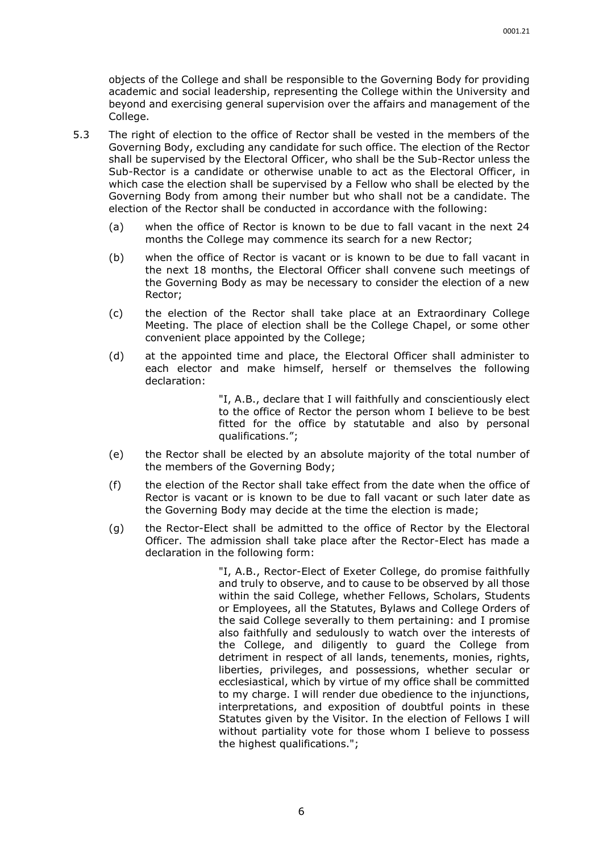objects of the College and shall be responsible to the Governing Body for providing academic and social leadership, representing the College within the University and beyond and exercising general supervision over the affairs and management of the College.

- <span id="page-8-0"></span>5.3 The right of election to the office of Rector shall be vested in the members of the Governing Body, excluding any candidate for such office. The election of the Rector shall be supervised by the Electoral Officer, who shall be the Sub-Rector unless the Sub-Rector is a candidate or otherwise unable to act as the Electoral Officer, in which case the election shall be supervised by a Fellow who shall be elected by the Governing Body from among their number but who shall not be a candidate. The election of the Rector shall be conducted in accordance with the following:
	- (a) when the office of Rector is known to be due to fall vacant in the next 24 months the College may commence its search for a new Rector;
	- (b) when the office of Rector is vacant or is known to be due to fall vacant in the next 18 months, the Electoral Officer shall convene such meetings of the Governing Body as may be necessary to consider the election of a new Rector;
	- (c) the election of the Rector shall take place at an Extraordinary College Meeting. The place of election shall be the College Chapel, or some other convenient place appointed by the College;
	- (d) at the appointed time and place, the Electoral Officer shall administer to each elector and make himself, herself or themselves the following declaration:

"I, A.B., declare that I will faithfully and conscientiously elect to the office of Rector the person whom I believe to be best fitted for the office by statutable and also by personal qualifications.";

- (e) the Rector shall be elected by an absolute majority of the total number of the members of the Governing Body;
- (f) the election of the Rector shall take effect from the date when the office of Rector is vacant or is known to be due to fall vacant or such later date as the Governing Body may decide at the time the election is made;
- (g) the Rector-Elect shall be admitted to the office of Rector by the Electoral Officer. The admission shall take place after the Rector-Elect has made a declaration in the following form:

"I, A.B., Rector-Elect of Exeter College, do promise faithfully and truly to observe, and to cause to be observed by all those within the said College, whether Fellows, Scholars, Students or Employees, all the Statutes, Bylaws and College Orders of the said College severally to them pertaining: and I promise also faithfully and sedulously to watch over the interests of the College, and diligently to guard the College from detriment in respect of all lands, tenements, monies, rights, liberties, privileges, and possessions, whether secular or ecclesiastical, which by virtue of my office shall be committed to my charge. I will render due obedience to the injunctions, interpretations, and exposition of doubtful points in these Statutes given by the Visitor. In the election of Fellows I will without partiality vote for those whom I believe to possess the highest qualifications.";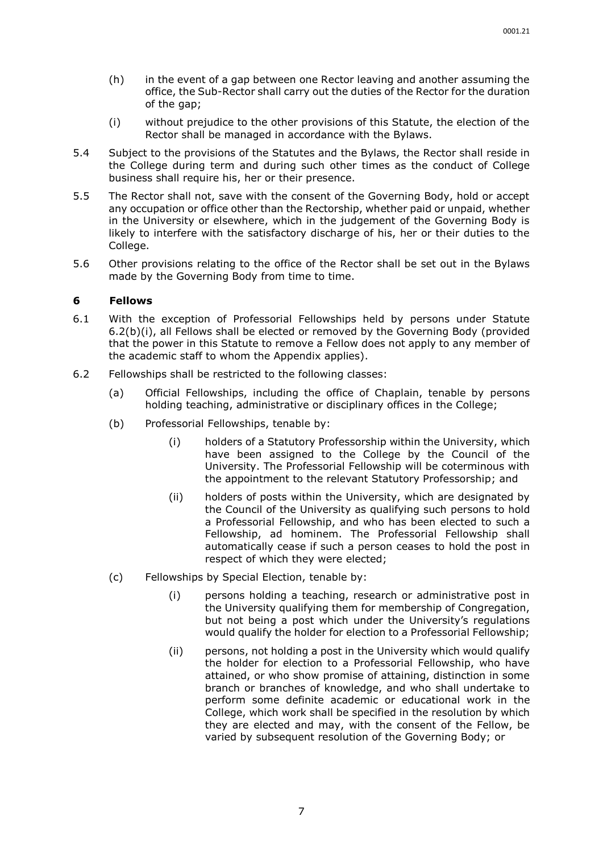- (h) in the event of a gap between one Rector leaving and another assuming the office, the Sub-Rector shall carry out the duties of the Rector for the duration of the gap;
- (i) without prejudice to the other provisions of this Statute, the election of the Rector shall be managed in accordance with the Bylaws.
- 5.4 Subject to the provisions of the Statutes and the Bylaws, the Rector shall reside in the College during term and during such other times as the conduct of College business shall require his, her or their presence.
- 5.5 The Rector shall not, save with the consent of the Governing Body, hold or accept any occupation or office other than the Rectorship, whether paid or unpaid, whether in the University or elsewhere, which in the judgement of the Governing Body is likely to interfere with the satisfactory discharge of his, her or their duties to the College.
- 5.6 Other provisions relating to the office of the Rector shall be set out in the Bylaws made by the Governing Body from time to time.

#### <span id="page-9-0"></span>**6 Fellows**

- 6.1 With the exception of Professorial Fellowships held by persons under Statute 6.2(b)(i), all Fellows shall be elected or removed by the Governing Body (provided that the power in this Statute to remove a Fellow does not apply to any member of the academic staff to whom the Appendix applies).
- 6.2 Fellowships shall be restricted to the following classes:
	- (a) Official Fellowships, including the office of Chaplain, tenable by persons holding teaching, administrative or disciplinary offices in the College;
	- (b) Professorial Fellowships, tenable by:
		- (i) holders of a Statutory Professorship within the University, which have been assigned to the College by the Council of the University. The Professorial Fellowship will be coterminous with the appointment to the relevant Statutory Professorship; and
		- (ii) holders of posts within the University, which are designated by the Council of the University as qualifying such persons to hold a Professorial Fellowship, and who has been elected to such a Fellowship, ad hominem. The Professorial Fellowship shall automatically cease if such a person ceases to hold the post in respect of which they were elected;
	- (c) Fellowships by Special Election, tenable by:
		- (i) persons holding a teaching, research or administrative post in the University qualifying them for membership of Congregation, but not being a post which under the University's regulations would qualify the holder for election to a Professorial Fellowship;
		- (ii) persons, not holding a post in the University which would qualify the holder for election to a Professorial Fellowship, who have attained, or who show promise of attaining, distinction in some branch or branches of knowledge, and who shall undertake to perform some definite academic or educational work in the College, which work shall be specified in the resolution by which they are elected and may, with the consent of the Fellow, be varied by subsequent resolution of the Governing Body; or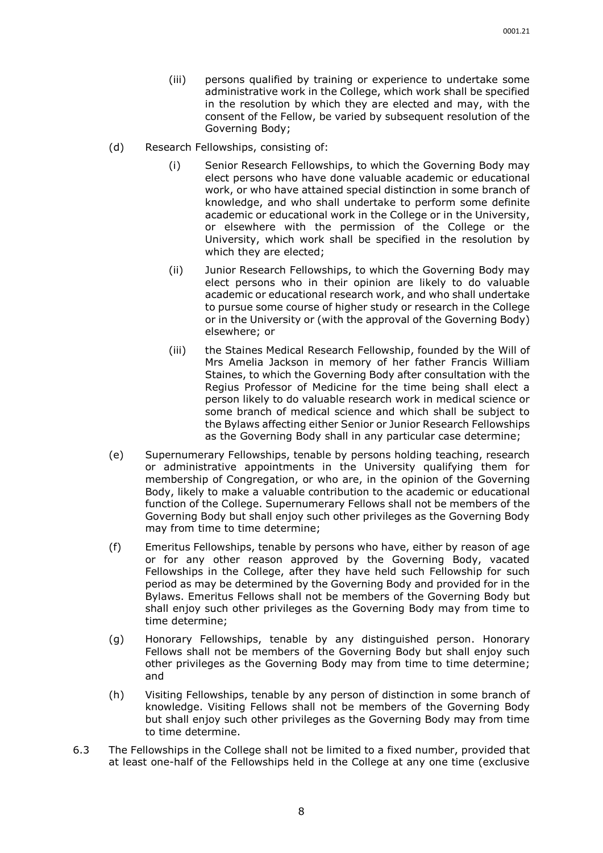- (iii) persons qualified by training or experience to undertake some administrative work in the College, which work shall be specified in the resolution by which they are elected and may, with the consent of the Fellow, be varied by subsequent resolution of the Governing Body;
- (d) Research Fellowships, consisting of:
	- (i) Senior Research Fellowships, to which the Governing Body may elect persons who have done valuable academic or educational work, or who have attained special distinction in some branch of knowledge, and who shall undertake to perform some definite academic or educational work in the College or in the University, or elsewhere with the permission of the College or the University, which work shall be specified in the resolution by which they are elected;
	- (ii) Junior Research Fellowships, to which the Governing Body may elect persons who in their opinion are likely to do valuable academic or educational research work, and who shall undertake to pursue some course of higher study or research in the College or in the University or (with the approval of the Governing Body) elsewhere; or
	- (iii) the Staines Medical Research Fellowship, founded by the Will of Mrs Amelia Jackson in memory of her father Francis William Staines, to which the Governing Body after consultation with the Regius Professor of Medicine for the time being shall elect a person likely to do valuable research work in medical science or some branch of medical science and which shall be subject to the Bylaws affecting either Senior or Junior Research Fellowships as the Governing Body shall in any particular case determine;
- (e) Supernumerary Fellowships, tenable by persons holding teaching, research or administrative appointments in the University qualifying them for membership of Congregation, or who are, in the opinion of the Governing Body, likely to make a valuable contribution to the academic or educational function of the College. Supernumerary Fellows shall not be members of the Governing Body but shall enjoy such other privileges as the Governing Body may from time to time determine;
- (f) Emeritus Fellowships, tenable by persons who have, either by reason of age or for any other reason approved by the Governing Body, vacated Fellowships in the College, after they have held such Fellowship for such period as may be determined by the Governing Body and provided for in the Bylaws. Emeritus Fellows shall not be members of the Governing Body but shall enjoy such other privileges as the Governing Body may from time to time determine;
- (g) Honorary Fellowships, tenable by any distinguished person. Honorary Fellows shall not be members of the Governing Body but shall enjoy such other privileges as the Governing Body may from time to time determine; and
- (h) Visiting Fellowships, tenable by any person of distinction in some branch of knowledge. Visiting Fellows shall not be members of the Governing Body but shall enjoy such other privileges as the Governing Body may from time to time determine.
- 6.3 The Fellowships in the College shall not be limited to a fixed number, provided that at least one-half of the Fellowships held in the College at any one time (exclusive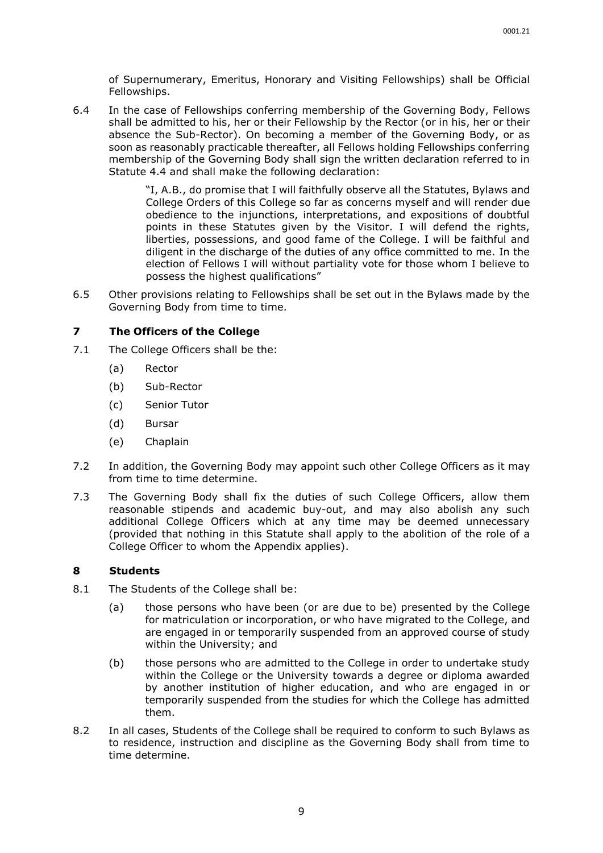of Supernumerary, Emeritus, Honorary and Visiting Fellowships) shall be Official Fellowships.

6.4 In the case of Fellowships conferring membership of the Governing Body, Fellows shall be admitted to his, her or their Fellowship by the Rector (or in his, her or their absence the Sub-Rector). On becoming a member of the Governing Body, or as soon as reasonably practicable thereafter, all Fellows holding Fellowships conferring membership of the Governing Body shall sign the written declaration referred to in Statute [4.4](#page-7-2) and shall make the following declaration:

> "I, A.B., do promise that I will faithfully observe all the Statutes, Bylaws and College Orders of this College so far as concerns myself and will render due obedience to the injunctions, interpretations, and expositions of doubtful points in these Statutes given by the Visitor. I will defend the rights, liberties, possessions, and good fame of the College. I will be faithful and diligent in the discharge of the duties of any office committed to me. In the election of Fellows I will without partiality vote for those whom I believe to possess the highest qualifications"

6.5 Other provisions relating to Fellowships shall be set out in the Bylaws made by the Governing Body from time to time.

#### <span id="page-11-0"></span>**7 The Officers of the College**

- <span id="page-11-2"></span>7.1 The College Officers shall be the:
	- (a) Rector
	- (b) Sub-Rector
	- (c) Senior Tutor
	- (d) Bursar
	- (e) Chaplain
- 7.2 In addition, the Governing Body may appoint such other College Officers as it may from time to time determine.
- 7.3 The Governing Body shall fix the duties of such College Officers, allow them reasonable stipends and academic buy-out, and may also abolish any such additional College Officers which at any time may be deemed unnecessary (provided that nothing in this Statute shall apply to the abolition of the role of a College Officer to whom the Appendix applies).

# <span id="page-11-1"></span>**8 Students**

- 8.1 The Students of the College shall be:
	- (a) those persons who have been (or are due to be) presented by the College for matriculation or incorporation, or who have migrated to the College, and are engaged in or temporarily suspended from an approved course of study within the University; and
	- (b) those persons who are admitted to the College in order to undertake study within the College or the University towards a degree or diploma awarded by another institution of higher education, and who are engaged in or temporarily suspended from the studies for which the College has admitted them.
- 8.2 In all cases, Students of the College shall be required to conform to such Bylaws as to residence, instruction and discipline as the Governing Body shall from time to time determine.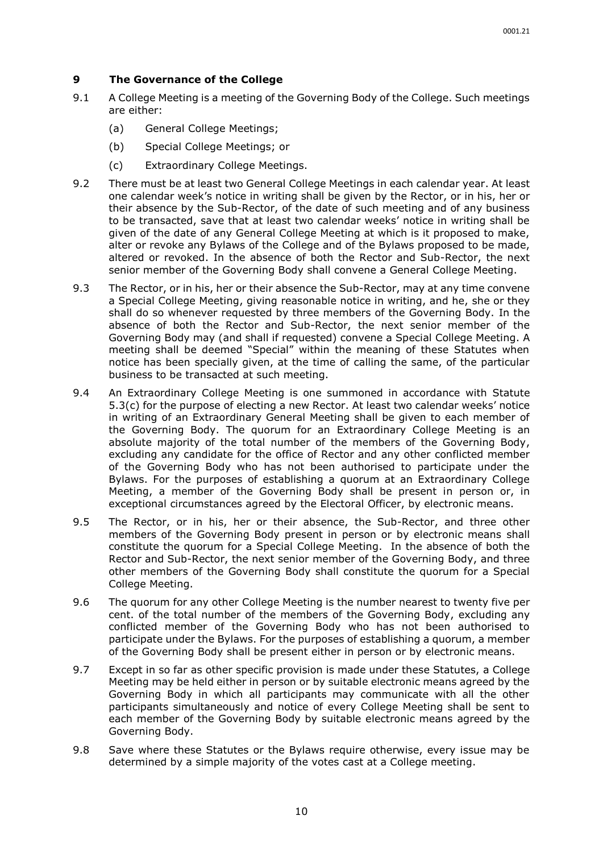#### <span id="page-12-0"></span>**9 The Governance of the College**

- 9.1 A College Meeting is a meeting of the Governing Body of the College. Such meetings are either:
	- (a) General College Meetings;
	- (b) Special College Meetings; or
	- (c) Extraordinary College Meetings.
- 9.2 There must be at least two General College Meetings in each calendar year. At least one calendar week's notice in writing shall be given by the Rector, or in his, her or their absence by the Sub-Rector, of the date of such meeting and of any business to be transacted, save that at least two calendar weeks' notice in writing shall be given of the date of any General College Meeting at which is it proposed to make, alter or revoke any Bylaws of the College and of the Bylaws proposed to be made, altered or revoked. In the absence of both the Rector and Sub-Rector, the next senior member of the Governing Body shall convene a General College Meeting.
- 9.3 The Rector, or in his, her or their absence the Sub-Rector, may at any time convene a Special College Meeting, giving reasonable notice in writing, and he, she or they shall do so whenever requested by three members of the Governing Body. In the absence of both the Rector and Sub-Rector, the next senior member of the Governing Body may (and shall if requested) convene a Special College Meeting. A meeting shall be deemed "Special" within the meaning of these Statutes when notice has been specially given, at the time of calling the same, of the particular business to be transacted at such meeting.
- 9.4 An Extraordinary College Meeting is one summoned in accordance with Statute 5.3(c) for the purpose of electing a new Rector. At least two calendar weeks' notice in writing of an Extraordinary General Meeting shall be given to each member of the Governing Body. The quorum for an Extraordinary College Meeting is an absolute majority of the total number of the members of the Governing Body, excluding any candidate for the office of Rector and any other conflicted member of the Governing Body who has not been authorised to participate under the Bylaws. For the purposes of establishing a quorum at an Extraordinary College Meeting, a member of the Governing Body shall be present in person or, in exceptional circumstances agreed by the Electoral Officer, by electronic means.
- 9.5 The Rector, or in his, her or their absence, the Sub-Rector, and three other members of the Governing Body present in person or by electronic means shall constitute the quorum for a Special College Meeting. In the absence of both the Rector and Sub-Rector, the next senior member of the Governing Body, and three other members of the Governing Body shall constitute the quorum for a Special College Meeting.
- 9.6 The quorum for any other College Meeting is the number nearest to twenty five per cent. of the total number of the members of the Governing Body, excluding any conflicted member of the Governing Body who has not been authorised to participate under the Bylaws. For the purposes of establishing a quorum, a member of the Governing Body shall be present either in person or by electronic means.
- 9.7 Except in so far as other specific provision is made under these Statutes, a College Meeting may be held either in person or by suitable electronic means agreed by the Governing Body in which all participants may communicate with all the other participants simultaneously and notice of every College Meeting shall be sent to each member of the Governing Body by suitable electronic means agreed by the Governing Body.
- 9.8 Save where these Statutes or the Bylaws require otherwise, every issue may be determined by a simple majority of the votes cast at a College meeting.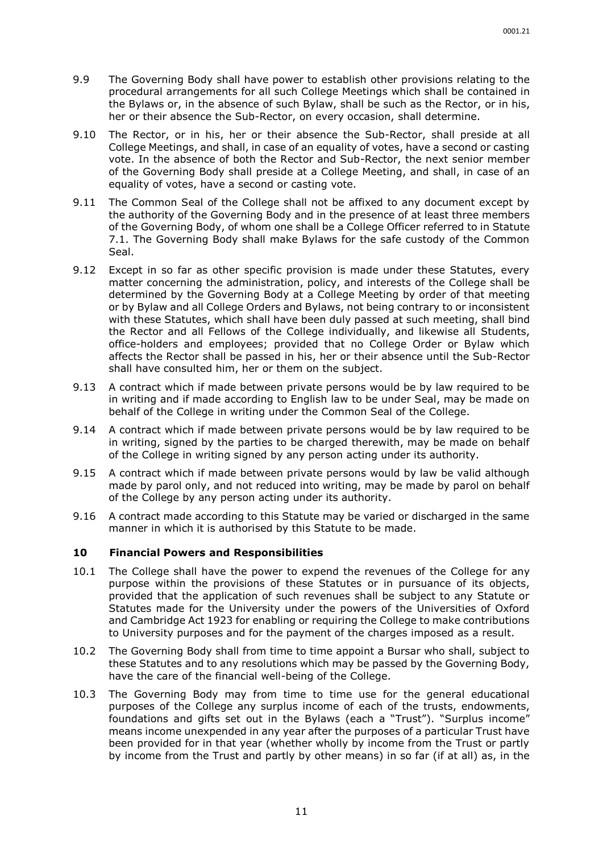- 9.9 The Governing Body shall have power to establish other provisions relating to the procedural arrangements for all such College Meetings which shall be contained in the Bylaws or, in the absence of such Bylaw, shall be such as the Rector, or in his, her or their absence the Sub-Rector, on every occasion, shall determine.
- 9.10 The Rector, or in his, her or their absence the Sub-Rector, shall preside at all College Meetings, and shall, in case of an equality of votes, have a second or casting vote. In the absence of both the Rector and Sub-Rector, the next senior member of the Governing Body shall preside at a College Meeting, and shall, in case of an equality of votes, have a second or casting vote.
- 9.11 The Common Seal of the College shall not be affixed to any document except by the authority of the Governing Body and in the presence of at least three members of the Governing Body, of whom one shall be a College Officer referred to in Statute [7.1.](#page-11-2) The Governing Body shall make Bylaws for the safe custody of the Common Seal.
- 9.12 Except in so far as other specific provision is made under these Statutes, every matter concerning the administration, policy, and interests of the College shall be determined by the Governing Body at a College Meeting by order of that meeting or by Bylaw and all College Orders and Bylaws, not being contrary to or inconsistent with these Statutes, which shall have been duly passed at such meeting, shall bind the Rector and all Fellows of the College individually, and likewise all Students, office-holders and employees; provided that no College Order or Bylaw which affects the Rector shall be passed in his, her or their absence until the Sub-Rector shall have consulted him, her or them on the subject.
- 9.13 A contract which if made between private persons would be by law required to be in writing and if made according to English law to be under Seal, may be made on behalf of the College in writing under the Common Seal of the College.
- 9.14 A contract which if made between private persons would be by law required to be in writing, signed by the parties to be charged therewith, may be made on behalf of the College in writing signed by any person acting under its authority.
- 9.15 A contract which if made between private persons would by law be valid although made by parol only, and not reduced into writing, may be made by parol on behalf of the College by any person acting under its authority.
- 9.16 A contract made according to this Statute may be varied or discharged in the same manner in which it is authorised by this Statute to be made.

#### <span id="page-13-0"></span>**10 Financial Powers and Responsibilities**

- <span id="page-13-1"></span>10.1 The College shall have the power to expend the revenues of the College for any purpose within the provisions of these Statutes or in pursuance of its objects, provided that the application of such revenues shall be subject to any Statute or Statutes made for the University under the powers of the Universities of Oxford and Cambridge Act 1923 for enabling or requiring the College to make contributions to University purposes and for the payment of the charges imposed as a result.
- 10.2 The Governing Body shall from time to time appoint a Bursar who shall, subject to these Statutes and to any resolutions which may be passed by the Governing Body, have the care of the financial well-being of the College.
- 10.3 The Governing Body may from time to time use for the general educational purposes of the College any surplus income of each of the trusts, endowments, foundations and gifts set out in the Bylaws (each a "Trust"). "Surplus income" means income unexpended in any year after the purposes of a particular Trust have been provided for in that year (whether wholly by income from the Trust or partly by income from the Trust and partly by other means) in so far (if at all) as, in the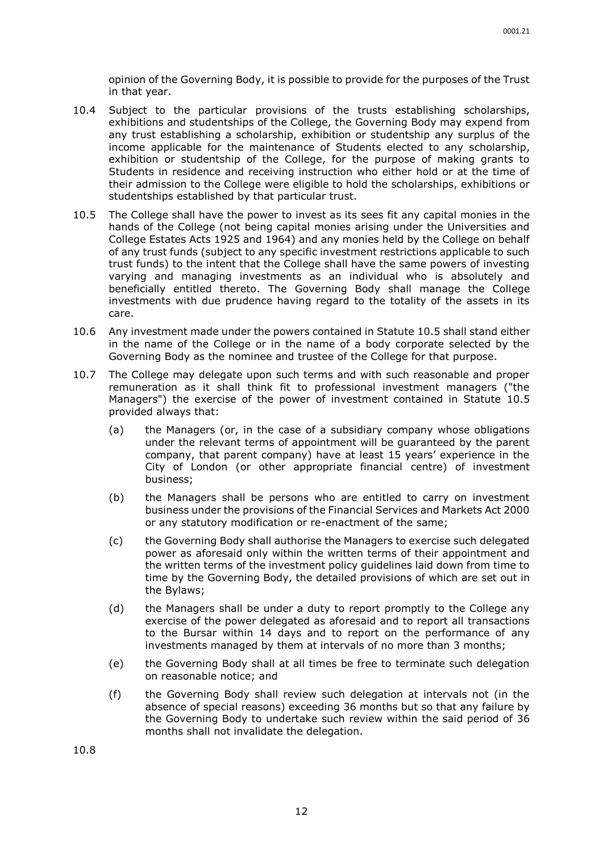opinion of the Governing Body, it is possible to provide for the purposes of the Trust in that year.

- 10.4 Subject to the particular provisions of the trusts establishing scholarships, exhibitions and studentships of the College, the Governing Body may expend from any trust establishing a scholarship, exhibition or studentship any surplus of the income applicable for the maintenance of Students elected to any scholarship, exhibition or studentship of the College, for the purpose of making grants to Students in residence and receiving instruction who either hold or at the time of their admission to the College were eligible to hold the scholarships, exhibitions or studentships established by that particular trust.
- <span id="page-14-0"></span>10.5 The College shall have the power to invest as its sees fit any capital monies in the hands of the College (not being capital monies arising under the Universities and College Estates Acts 1925 and 1964) and any monies held by the College on behalf of any trust funds (subject to any specific investment restrictions applicable to such trust funds) to the intent that the College shall have the same powers of investing varying and managing investments as an individual who is absolutely and beneficially entitled thereto. The Governing Body shall manage the College investments with due prudence having regard to the totality of the assets in its care.
- 10.6 Any investment made under the powers contained in Statute [10.5](#page-14-0) shall stand either in the name of the College or in the name of a body corporate selected by the Governing Body as the nominee and trustee of the College for that purpose.
- 10.7 The College may delegate upon such terms and with such reasonable and proper remuneration as it shall think fit to professional investment managers ("the Managers") the exercise of the power of investment contained in Statute [10.5](#page-14-0) provided always that:
	- (a) the Managers (or, in the case of a subsidiary company whose obligations under the relevant terms of appointment will be guaranteed by the parent company, that parent company) have at least 15 years' experience in the City of London (or other appropriate financial centre) of investment business;
	- (b) the Managers shall be persons who are entitled to carry on investment business under the provisions of the Financial Services and Markets Act 2000 or any statutory modification or re-enactment of the same;
	- (c) the Governing Body shall authorise the Managers to exercise such delegated power as aforesaid only within the written terms of their appointment and the written terms of the investment policy guidelines laid down from time to time by the Governing Body, the detailed provisions of which are set out in the Bylaws;
	- (d) the Managers shall be under a duty to report promptly to the College any exercise of the power delegated as aforesaid and to report all transactions to the Bursar within 14 days and to report on the performance of any investments managed by them at intervals of no more than 3 months;
	- (e) the Governing Body shall at all times be free to terminate such delegation on reasonable notice; and
	- (f) the Governing Body shall review such delegation at intervals not (in the absence of special reasons) exceeding 36 months but so that any failure by the Governing Body to undertake such review within the said period of 36 months shall not invalidate the delegation.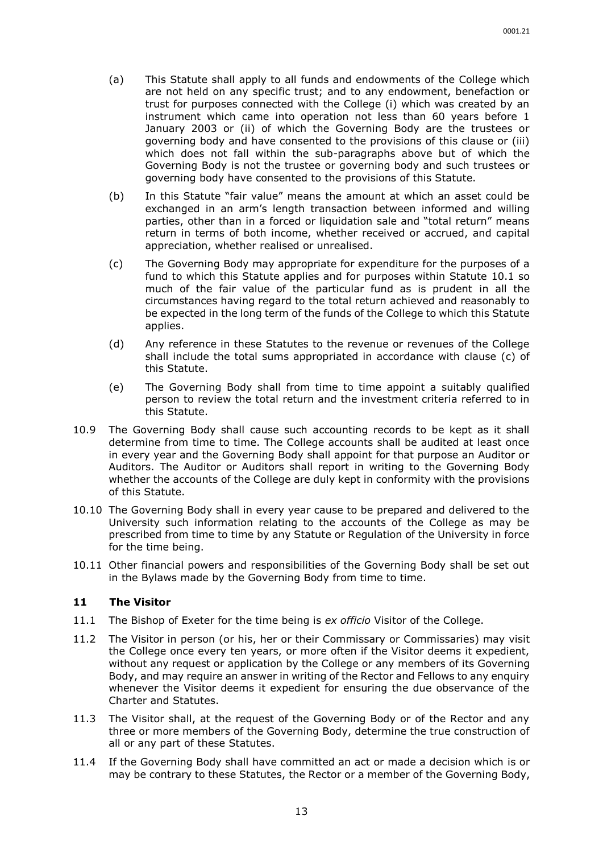- (a) This Statute shall apply to all funds and endowments of the College which are not held on any specific trust; and to any endowment, benefaction or trust for purposes connected with the College (i) which was created by an instrument which came into operation not less than 60 years before 1 January 2003 or (ii) of which the Governing Body are the trustees or governing body and have consented to the provisions of this clause or (iii) which does not fall within the sub-paragraphs above but of which the Governing Body is not the trustee or governing body and such trustees or governing body have consented to the provisions of this Statute.
- (b) In this Statute "fair value" means the amount at which an asset could be exchanged in an arm's length transaction between informed and willing parties, other than in a forced or liquidation sale and "total return" means return in terms of both income, whether received or accrued, and capital appreciation, whether realised or unrealised.
- <span id="page-15-1"></span>(c) The Governing Body may appropriate for expenditure for the purposes of a fund to which this Statute applies and for purposes within Statute [10.1](#page-13-1) so much of the fair value of the particular fund as is prudent in all the circumstances having regard to the total return achieved and reasonably to be expected in the long term of the funds of the College to which this Statute applies.
- (d) Any reference in these Statutes to the revenue or revenues of the College shall include the total sums appropriated in accordance with clause [\(c\)](#page-15-1) of this Statute.
- (e) The Governing Body shall from time to time appoint a suitably qualified person to review the total return and the investment criteria referred to in this Statute.
- 10.9 The Governing Body shall cause such accounting records to be kept as it shall determine from time to time. The College accounts shall be audited at least once in every year and the Governing Body shall appoint for that purpose an Auditor or Auditors. The Auditor or Auditors shall report in writing to the Governing Body whether the accounts of the College are duly kept in conformity with the provisions of this Statute.
- 10.10 The Governing Body shall in every year cause to be prepared and delivered to the University such information relating to the accounts of the College as may be prescribed from time to time by any Statute or Regulation of the University in force for the time being.
- 10.11 Other financial powers and responsibilities of the Governing Body shall be set out in the Bylaws made by the Governing Body from time to time.

#### <span id="page-15-0"></span>**11 The Visitor**

- 11.1 The Bishop of Exeter for the time being is *ex officio* Visitor of the College.
- 11.2 The Visitor in person (or his, her or their Commissary or Commissaries) may visit the College once every ten years, or more often if the Visitor deems it expedient, without any request or application by the College or any members of its Governing Body, and may require an answer in writing of the Rector and Fellows to any enquiry whenever the Visitor deems it expedient for ensuring the due observance of the Charter and Statutes.
- 11.3 The Visitor shall, at the request of the Governing Body or of the Rector and any three or more members of the Governing Body, determine the true construction of all or any part of these Statutes.
- 11.4 If the Governing Body shall have committed an act or made a decision which is or may be contrary to these Statutes, the Rector or a member of the Governing Body,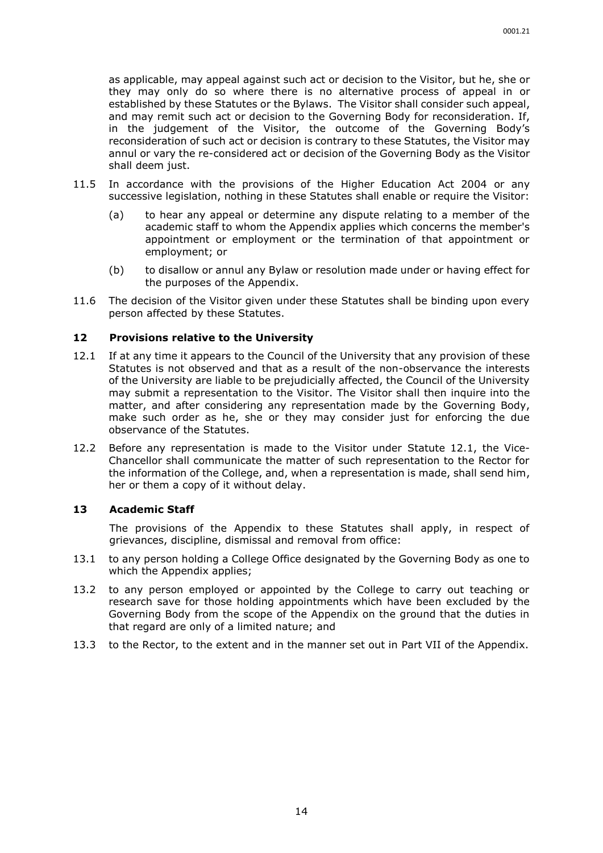as applicable, may appeal against such act or decision to the Visitor, but he, she or they may only do so where there is no alternative process of appeal in or established by these Statutes or the Bylaws. The Visitor shall consider such appeal, and may remit such act or decision to the Governing Body for reconsideration. If, in the judgement of the Visitor, the outcome of the Governing Body's reconsideration of such act or decision is contrary to these Statutes, the Visitor may annul or vary the re-considered act or decision of the Governing Body as the Visitor shall deem just.

- 11.5 In accordance with the provisions of the Higher Education Act 2004 or any successive legislation, nothing in these Statutes shall enable or require the Visitor:
	- (a) to hear any appeal or determine any dispute relating to a member of the academic staff to whom the Appendix applies which concerns the member's appointment or employment or the termination of that appointment or employment; or
	- (b) to disallow or annul any Bylaw or resolution made under or having effect for the purposes of the Appendix.
- 11.6 The decision of the Visitor given under these Statutes shall be binding upon every person affected by these Statutes.

#### <span id="page-16-0"></span>**12 Provisions relative to the University**

- <span id="page-16-2"></span>12.1 If at any time it appears to the Council of the University that any provision of these Statutes is not observed and that as a result of the non-observance the interests of the University are liable to be prejudicially affected, the Council of the University may submit a representation to the Visitor. The Visitor shall then inquire into the matter, and after considering any representation made by the Governing Body, make such order as he, she or they may consider just for enforcing the due observance of the Statutes.
- 12.2 Before any representation is made to the Visitor under Statute [12.1,](#page-16-2) the Vice-Chancellor shall communicate the matter of such representation to the Rector for the information of the College, and, when a representation is made, shall send him, her or them a copy of it without delay.

#### <span id="page-16-1"></span>**13 Academic Staff**

The provisions of the Appendix to these Statutes shall apply, in respect of grievances, discipline, dismissal and removal from office:

- 13.1 to any person holding a College Office designated by the Governing Body as one to which the Appendix applies;
- 13.2 to any person employed or appointed by the College to carry out teaching or research save for those holding appointments which have been excluded by the Governing Body from the scope of the Appendix on the ground that the duties in that regard are only of a limited nature; and
- 13.3 to the Rector, to the extent and in the manner set out in Part VII of the Appendix.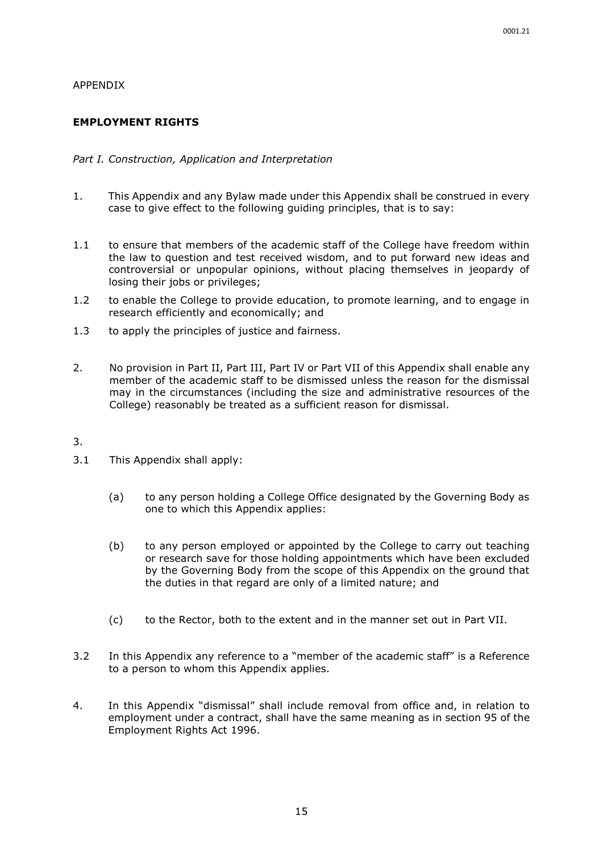#### APPENDIX

# **EMPLOYMENT RIGHTS**

#### *Part I. Construction, Application and Interpretation*

- 1. This Appendix and any Bylaw made under this Appendix shall be construed in every case to give effect to the following guiding principles, that is to say:
- 1.1 to ensure that members of the academic staff of the College have freedom within the law to question and test received wisdom, and to put forward new ideas and controversial or unpopular opinions, without placing themselves in jeopardy of losing their jobs or privileges;
- 1.2 to enable the College to provide education, to promote learning, and to engage in research efficiently and economically; and
- 1.3 to apply the principles of justice and fairness.
- 2. No provision in Part II, Part III, Part IV or Part VII of this Appendix shall enable any member of the academic staff to be dismissed unless the reason for the dismissal may in the circumstances (including the size and administrative resources of the College) reasonably be treated as a sufficient reason for dismissal.
- 3.
- 3.1 This Appendix shall apply:
	- (a) to any person holding a College Office designated by the Governing Body as one to which this Appendix applies:
	- (b) to any person employed or appointed by the College to carry out teaching or research save for those holding appointments which have been excluded by the Governing Body from the scope of this Appendix on the ground that the duties in that regard are only of a limited nature; and
	- (c) to the Rector, both to the extent and in the manner set out in Part VII.
- 3.2 In this Appendix any reference to a "member of the academic staff" is a Reference to a person to whom this Appendix applies.
- 4. In this Appendix "dismissal" shall include removal from office and, in relation to employment under a contract, shall have the same meaning as in section 95 of the Employment Rights Act 1996.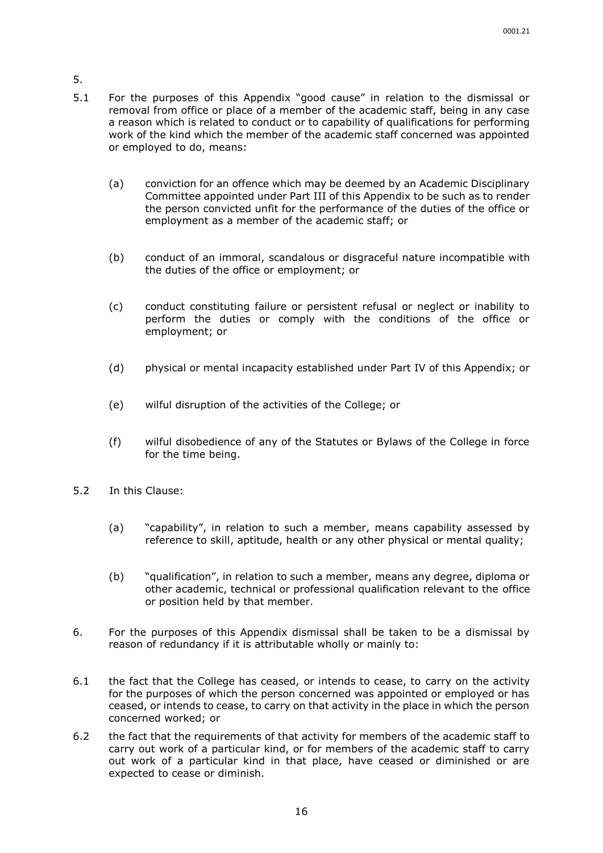- 5.
- 5.1 For the purposes of this Appendix "good cause" in relation to the dismissal or removal from office or place of a member of the academic staff, being in any case a reason which is related to conduct or to capability of qualifications for performing work of the kind which the member of the academic staff concerned was appointed or employed to do, means:
	- (a) conviction for an offence which may be deemed by an Academic Disciplinary Committee appointed under Part III of this Appendix to be such as to render the person convicted unfit for the performance of the duties of the office or employment as a member of the academic staff; or
	- (b) conduct of an immoral, scandalous or disgraceful nature incompatible with the duties of the office or employment; or
	- (c) conduct constituting failure or persistent refusal or neglect or inability to perform the duties or comply with the conditions of the office or employment; or
	- (d) physical or mental incapacity established under Part IV of this Appendix; or
	- (e) wilful disruption of the activities of the College; or
	- (f) wilful disobedience of any of the Statutes or Bylaws of the College in force for the time being.
- 5.2 In this Clause:
	- (a) "capability", in relation to such a member, means capability assessed by reference to skill, aptitude, health or any other physical or mental quality;
	- (b) "qualification", in relation to such a member, means any degree, diploma or other academic, technical or professional qualification relevant to the office or position held by that member.
- 6. For the purposes of this Appendix dismissal shall be taken to be a dismissal by reason of redundancy if it is attributable wholly or mainly to:
- 6.1 the fact that the College has ceased, or intends to cease, to carry on the activity for the purposes of which the person concerned was appointed or employed or has ceased, or intends to cease, to carry on that activity in the place in which the person concerned worked; or
- 6.2 the fact that the requirements of that activity for members of the academic staff to carry out work of a particular kind, or for members of the academic staff to carry out work of a particular kind in that place, have ceased or diminished or are expected to cease or diminish.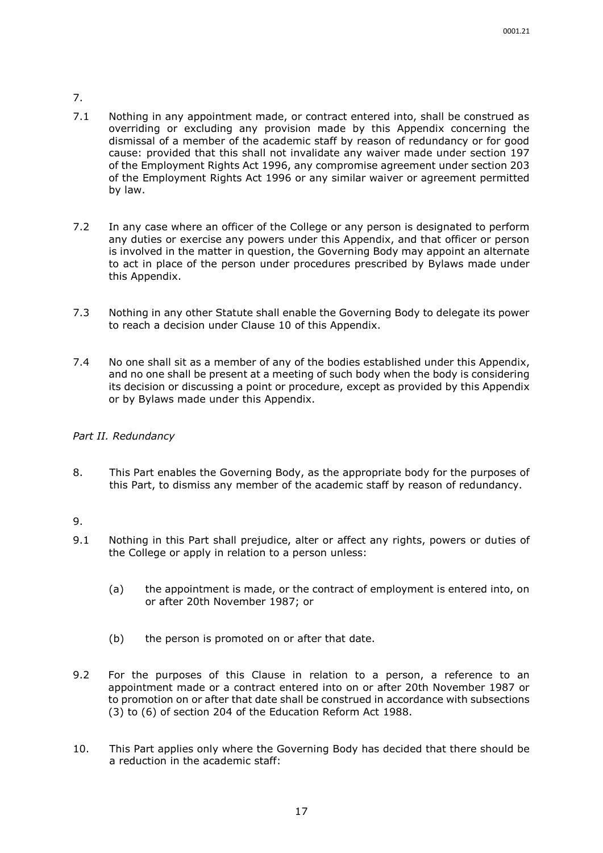- 7.
- 7.1 Nothing in any appointment made, or contract entered into, shall be construed as overriding or excluding any provision made by this Appendix concerning the dismissal of a member of the academic staff by reason of redundancy or for good cause: provided that this shall not invalidate any waiver made under section 197 of the Employment Rights Act 1996, any compromise agreement under section 203 of the Employment Rights Act 1996 or any similar waiver or agreement permitted by law.
- 7.2 In any case where an officer of the College or any person is designated to perform any duties or exercise any powers under this Appendix, and that officer or person is involved in the matter in question, the Governing Body may appoint an alternate to act in place of the person under procedures prescribed by Bylaws made under this Appendix.
- 7.3 Nothing in any other Statute shall enable the Governing Body to delegate its power to reach a decision under Clause 10 of this Appendix.
- 7.4 No one shall sit as a member of any of the bodies established under this Appendix, and no one shall be present at a meeting of such body when the body is considering its decision or discussing a point or procedure, except as provided by this Appendix or by Bylaws made under this Appendix.

# *Part II. Redundancy*

8. This Part enables the Governing Body, as the appropriate body for the purposes of this Part, to dismiss any member of the academic staff by reason of redundancy.

- 9.1 Nothing in this Part shall prejudice, alter or affect any rights, powers or duties of the College or apply in relation to a person unless:
	- (a) the appointment is made, or the contract of employment is entered into, on or after 20th November 1987; or
	- (b) the person is promoted on or after that date.
- 9.2 For the purposes of this Clause in relation to a person, a reference to an appointment made or a contract entered into on or after 20th November 1987 or to promotion on or after that date shall be construed in accordance with subsections (3) to (6) of section 204 of the Education Reform Act 1988.
- 10. This Part applies only where the Governing Body has decided that there should be a reduction in the academic staff: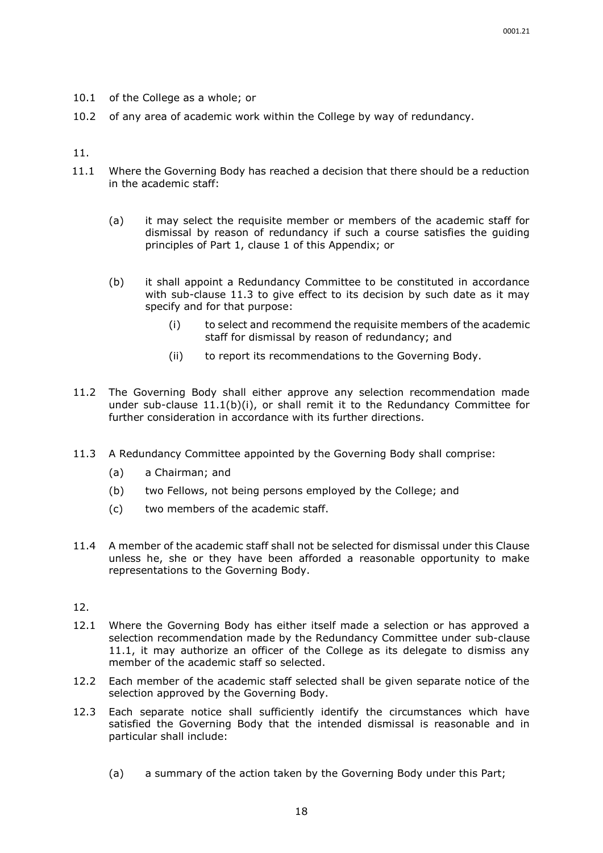- 10.1 of the College as a whole; or
- 10.2 of any area of academic work within the College by way of redundancy.

- 11.1 Where the Governing Body has reached a decision that there should be a reduction in the academic staff:
	- (a) it may select the requisite member or members of the academic staff for dismissal by reason of redundancy if such a course satisfies the guiding principles of Part 1, clause 1 of this Appendix; or
	- (b) it shall appoint a Redundancy Committee to be constituted in accordance with sub-clause 11.3 to give effect to its decision by such date as it may specify and for that purpose:
		- (i) to select and recommend the requisite members of the academic staff for dismissal by reason of redundancy; and
		- (ii) to report its recommendations to the Governing Body.
- 11.2 The Governing Body shall either approve any selection recommendation made under sub-clause 11.1(b)(i), or shall remit it to the Redundancy Committee for further consideration in accordance with its further directions.
- 11.3 A Redundancy Committee appointed by the Governing Body shall comprise:
	- (a) a Chairman; and
	- (b) two Fellows, not being persons employed by the College; and
	- (c) two members of the academic staff.
- 11.4 A member of the academic staff shall not be selected for dismissal under this Clause unless he, she or they have been afforded a reasonable opportunity to make representations to the Governing Body.

- 12.1 Where the Governing Body has either itself made a selection or has approved a selection recommendation made by the Redundancy Committee under sub-clause 11.1, it may authorize an officer of the College as its delegate to dismiss any member of the academic staff so selected.
- 12.2 Each member of the academic staff selected shall be given separate notice of the selection approved by the Governing Body.
- 12.3 Each separate notice shall sufficiently identify the circumstances which have satisfied the Governing Body that the intended dismissal is reasonable and in particular shall include:
	- (a) a summary of the action taken by the Governing Body under this Part;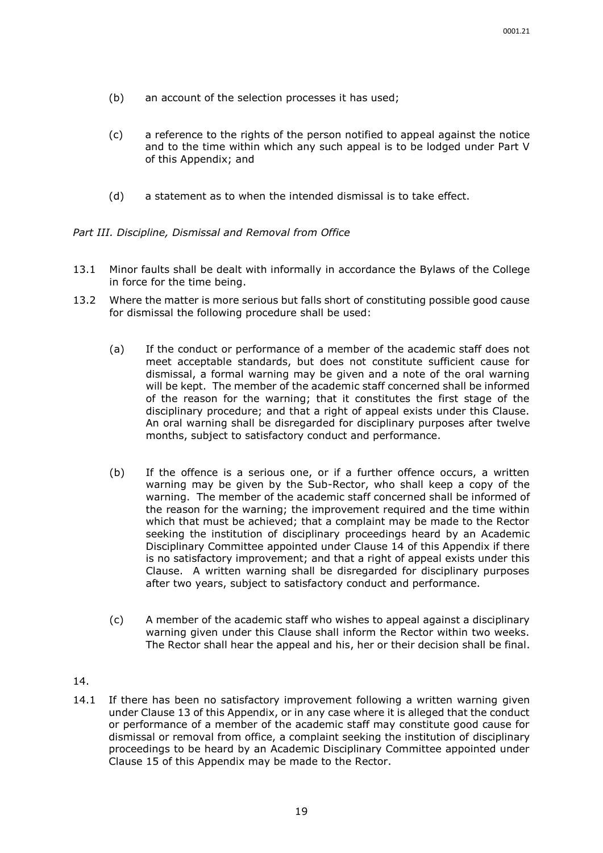- (b) an account of the selection processes it has used;
- (c) a reference to the rights of the person notified to appeal against the notice and to the time within which any such appeal is to be lodged under Part V of this Appendix; and
- (d) a statement as to when the intended dismissal is to take effect.

*Part III. Discipline, Dismissal and Removal from Office*

- 13.1 Minor faults shall be dealt with informally in accordance the Bylaws of the College in force for the time being.
- 13.2 Where the matter is more serious but falls short of constituting possible good cause for dismissal the following procedure shall be used:
	- (a) If the conduct or performance of a member of the academic staff does not meet acceptable standards, but does not constitute sufficient cause for dismissal, a formal warning may be given and a note of the oral warning will be kept. The member of the academic staff concerned shall be informed of the reason for the warning; that it constitutes the first stage of the disciplinary procedure; and that a right of appeal exists under this Clause. An oral warning shall be disregarded for disciplinary purposes after twelve months, subject to satisfactory conduct and performance.
	- (b) If the offence is a serious one, or if a further offence occurs, a written warning may be given by the Sub-Rector, who shall keep a copy of the warning. The member of the academic staff concerned shall be informed of the reason for the warning; the improvement required and the time within which that must be achieved; that a complaint may be made to the Rector seeking the institution of disciplinary proceedings heard by an Academic Disciplinary Committee appointed under Clause 14 of this Appendix if there is no satisfactory improvement; and that a right of appeal exists under this Clause. A written warning shall be disregarded for disciplinary purposes after two years, subject to satisfactory conduct and performance.
	- (c) A member of the academic staff who wishes to appeal against a disciplinary warning given under this Clause shall inform the Rector within two weeks. The Rector shall hear the appeal and his, her or their decision shall be final.
- 14.
- 14.1 If there has been no satisfactory improvement following a written warning given under Clause 13 of this Appendix, or in any case where it is alleged that the conduct or performance of a member of the academic staff may constitute good cause for dismissal or removal from office, a complaint seeking the institution of disciplinary proceedings to be heard by an Academic Disciplinary Committee appointed under Clause 15 of this Appendix may be made to the Rector.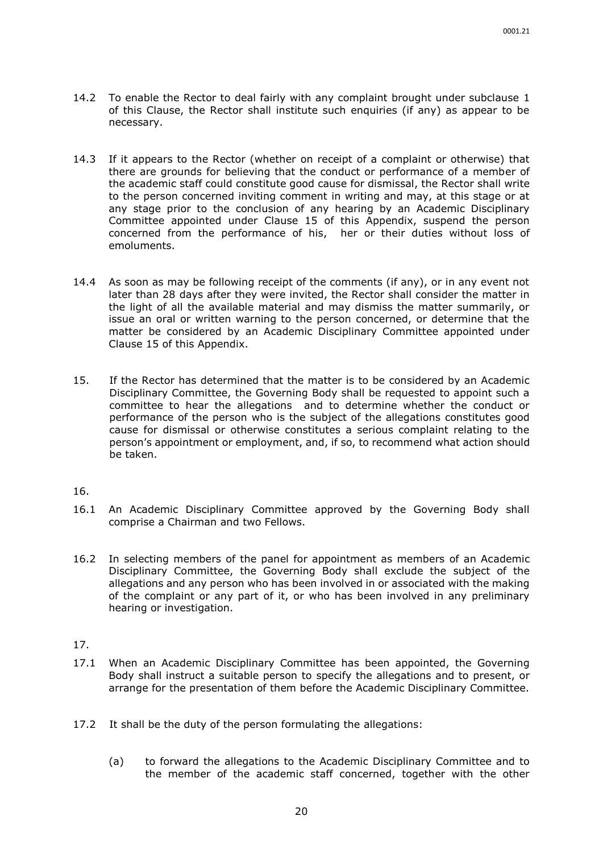- 14.2 To enable the Rector to deal fairly with any complaint brought under subclause 1 of this Clause, the Rector shall institute such enquiries (if any) as appear to be necessary.
- 14.3 If it appears to the Rector (whether on receipt of a complaint or otherwise) that there are grounds for believing that the conduct or performance of a member of the academic staff could constitute good cause for dismissal, the Rector shall write to the person concerned inviting comment in writing and may, at this stage or at any stage prior to the conclusion of any hearing by an Academic Disciplinary Committee appointed under Clause 15 of this Appendix, suspend the person concerned from the performance of his, her or their duties without loss of emoluments.
- 14.4 As soon as may be following receipt of the comments (if any), or in any event not later than 28 days after they were invited, the Rector shall consider the matter in the light of all the available material and may dismiss the matter summarily, or issue an oral or written warning to the person concerned, or determine that the matter be considered by an Academic Disciplinary Committee appointed under Clause 15 of this Appendix.
- 15. If the Rector has determined that the matter is to be considered by an Academic Disciplinary Committee, the Governing Body shall be requested to appoint such a committee to hear the allegations and to determine whether the conduct or performance of the person who is the subject of the allegations constitutes good cause for dismissal or otherwise constitutes a serious complaint relating to the person's appointment or employment, and, if so, to recommend what action should be taken.

- 16.1 An Academic Disciplinary Committee approved by the Governing Body shall comprise a Chairman and two Fellows.
- 16.2 In selecting members of the panel for appointment as members of an Academic Disciplinary Committee, the Governing Body shall exclude the subject of the allegations and any person who has been involved in or associated with the making of the complaint or any part of it, or who has been involved in any preliminary hearing or investigation.

- 17.1 When an Academic Disciplinary Committee has been appointed, the Governing Body shall instruct a suitable person to specify the allegations and to present, or arrange for the presentation of them before the Academic Disciplinary Committee.
- 17.2 It shall be the duty of the person formulating the allegations:
	- (a) to forward the allegations to the Academic Disciplinary Committee and to the member of the academic staff concerned, together with the other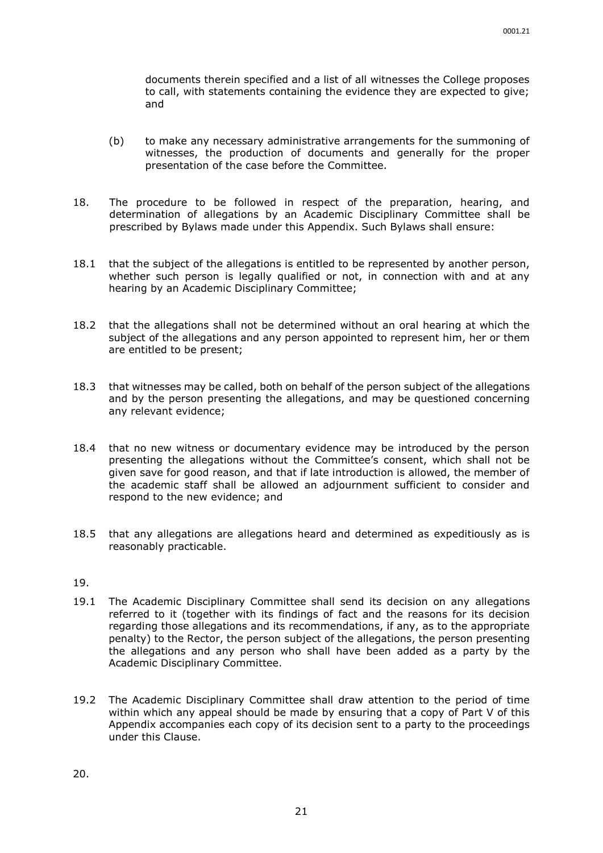documents therein specified and a list of all witnesses the College proposes to call, with statements containing the evidence they are expected to give; and

- (b) to make any necessary administrative arrangements for the summoning of witnesses, the production of documents and generally for the proper presentation of the case before the Committee.
- 18. The procedure to be followed in respect of the preparation, hearing, and determination of allegations by an Academic Disciplinary Committee shall be prescribed by Bylaws made under this Appendix. Such Bylaws shall ensure:
- 18.1 that the subject of the allegations is entitled to be represented by another person, whether such person is legally qualified or not, in connection with and at any hearing by an Academic Disciplinary Committee;
- 18.2 that the allegations shall not be determined without an oral hearing at which the subject of the allegations and any person appointed to represent him, her or them are entitled to be present;
- 18.3 that witnesses may be called, both on behalf of the person subject of the allegations and by the person presenting the allegations, and may be questioned concerning any relevant evidence;
- 18.4 that no new witness or documentary evidence may be introduced by the person presenting the allegations without the Committee's consent, which shall not be given save for good reason, and that if late introduction is allowed, the member of the academic staff shall be allowed an adjournment sufficient to consider and respond to the new evidence; and
- 18.5 that any allegations are allegations heard and determined as expeditiously as is reasonably practicable.

- 19.1 The Academic Disciplinary Committee shall send its decision on any allegations referred to it (together with its findings of fact and the reasons for its decision regarding those allegations and its recommendations, if any, as to the appropriate penalty) to the Rector, the person subject of the allegations, the person presenting the allegations and any person who shall have been added as a party by the Academic Disciplinary Committee.
- 19.2 The Academic Disciplinary Committee shall draw attention to the period of time within which any appeal should be made by ensuring that a copy of Part V of this Appendix accompanies each copy of its decision sent to a party to the proceedings under this Clause.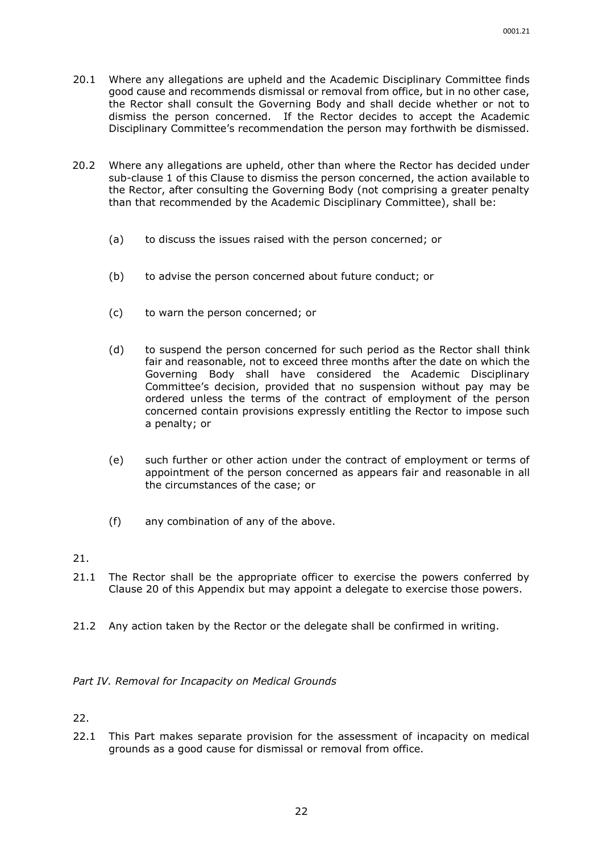- 20.1 Where any allegations are upheld and the Academic Disciplinary Committee finds good cause and recommends dismissal or removal from office, but in no other case, the Rector shall consult the Governing Body and shall decide whether or not to dismiss the person concerned. If the Rector decides to accept the Academic Disciplinary Committee's recommendation the person may forthwith be dismissed.
- 20.2 Where any allegations are upheld, other than where the Rector has decided under sub-clause 1 of this Clause to dismiss the person concerned, the action available to the Rector, after consulting the Governing Body (not comprising a greater penalty than that recommended by the Academic Disciplinary Committee), shall be:
	- (a) to discuss the issues raised with the person concerned; or
	- (b) to advise the person concerned about future conduct; or
	- (c) to warn the person concerned; or
	- (d) to suspend the person concerned for such period as the Rector shall think fair and reasonable, not to exceed three months after the date on which the Governing Body shall have considered the Academic Disciplinary Committee's decision, provided that no suspension without pay may be ordered unless the terms of the contract of employment of the person concerned contain provisions expressly entitling the Rector to impose such a penalty; or
	- (e) such further or other action under the contract of employment or terms of appointment of the person concerned as appears fair and reasonable in all the circumstances of the case; or
	- (f) any combination of any of the above.
- 21.
- 21.1 The Rector shall be the appropriate officer to exercise the powers conferred by Clause 20 of this Appendix but may appoint a delegate to exercise those powers.
- 21.2 Any action taken by the Rector or the delegate shall be confirmed in writing.

#### *Part IV. Removal for Incapacity on Medical Grounds*

22.

22.1 This Part makes separate provision for the assessment of incapacity on medical grounds as a good cause for dismissal or removal from office.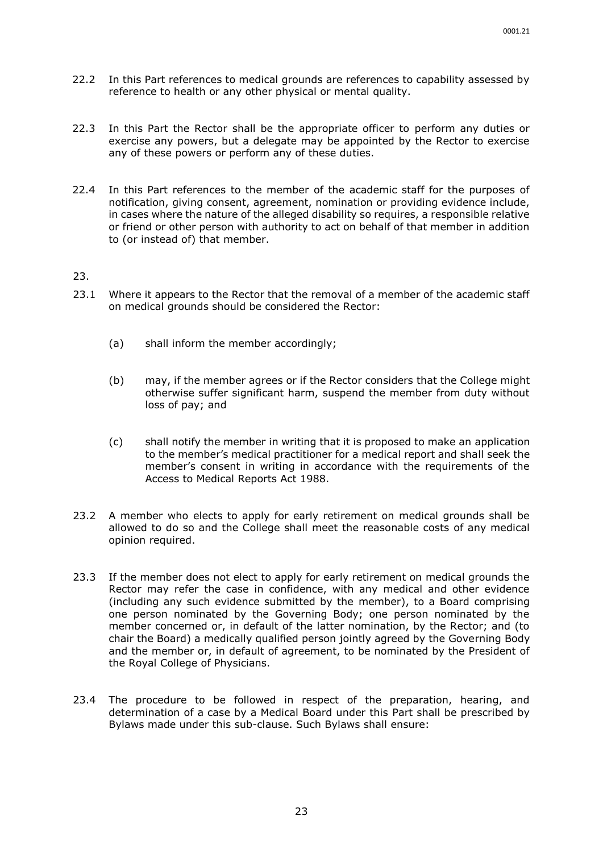- 22.2 In this Part references to medical grounds are references to capability assessed by reference to health or any other physical or mental quality.
- 22.3 In this Part the Rector shall be the appropriate officer to perform any duties or exercise any powers, but a delegate may be appointed by the Rector to exercise any of these powers or perform any of these duties.
- 22.4 In this Part references to the member of the academic staff for the purposes of notification, giving consent, agreement, nomination or providing evidence include, in cases where the nature of the alleged disability so requires, a responsible relative or friend or other person with authority to act on behalf of that member in addition to (or instead of) that member.

- 23.1 Where it appears to the Rector that the removal of a member of the academic staff on medical grounds should be considered the Rector:
	- (a) shall inform the member accordingly;
	- (b) may, if the member agrees or if the Rector considers that the College might otherwise suffer significant harm, suspend the member from duty without loss of pay; and
	- (c) shall notify the member in writing that it is proposed to make an application to the member's medical practitioner for a medical report and shall seek the member's consent in writing in accordance with the requirements of the Access to Medical Reports Act 1988.
- 23.2 A member who elects to apply for early retirement on medical grounds shall be allowed to do so and the College shall meet the reasonable costs of any medical opinion required.
- 23.3 If the member does not elect to apply for early retirement on medical grounds the Rector may refer the case in confidence, with any medical and other evidence (including any such evidence submitted by the member), to a Board comprising one person nominated by the Governing Body; one person nominated by the member concerned or, in default of the latter nomination, by the Rector; and (to chair the Board) a medically qualified person jointly agreed by the Governing Body and the member or, in default of agreement, to be nominated by the President of the Royal College of Physicians.
- 23.4 The procedure to be followed in respect of the preparation, hearing, and determination of a case by a Medical Board under this Part shall be prescribed by Bylaws made under this sub-clause. Such Bylaws shall ensure: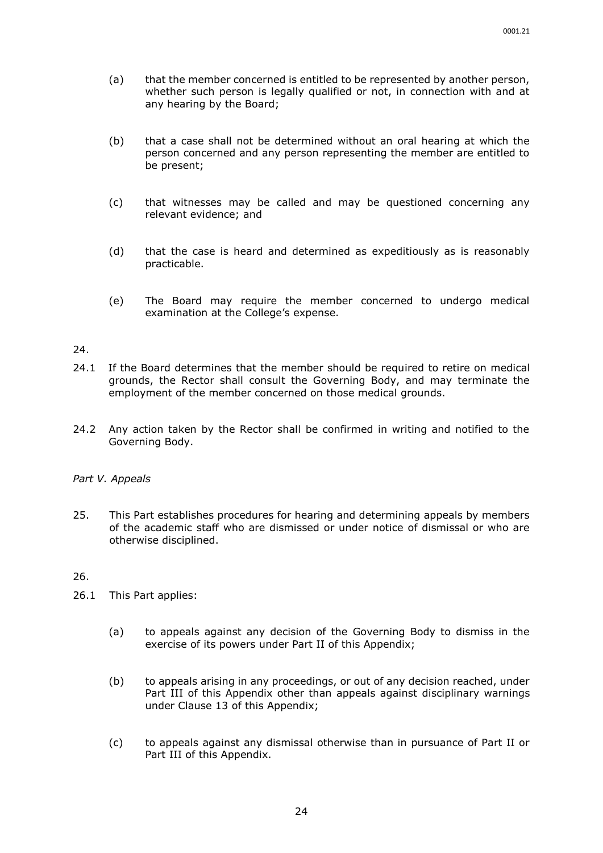- (a) that the member concerned is entitled to be represented by another person, whether such person is legally qualified or not, in connection with and at any hearing by the Board;
- (b) that a case shall not be determined without an oral hearing at which the person concerned and any person representing the member are entitled to be present;
- (c) that witnesses may be called and may be questioned concerning any relevant evidence; and
- (d) that the case is heard and determined as expeditiously as is reasonably practicable.
- (e) The Board may require the member concerned to undergo medical examination at the College's expense.

- 24.1 If the Board determines that the member should be required to retire on medical grounds, the Rector shall consult the Governing Body, and may terminate the employment of the member concerned on those medical grounds.
- 24.2 Any action taken by the Rector shall be confirmed in writing and notified to the Governing Body.

#### *Part V. Appeals*

25. This Part establishes procedures for hearing and determining appeals by members of the academic staff who are dismissed or under notice of dismissal or who are otherwise disciplined.

- 26.1 This Part applies:
	- (a) to appeals against any decision of the Governing Body to dismiss in the exercise of its powers under Part II of this Appendix;
	- (b) to appeals arising in any proceedings, or out of any decision reached, under Part III of this Appendix other than appeals against disciplinary warnings under Clause 13 of this Appendix;
	- (c) to appeals against any dismissal otherwise than in pursuance of Part II or Part III of this Appendix.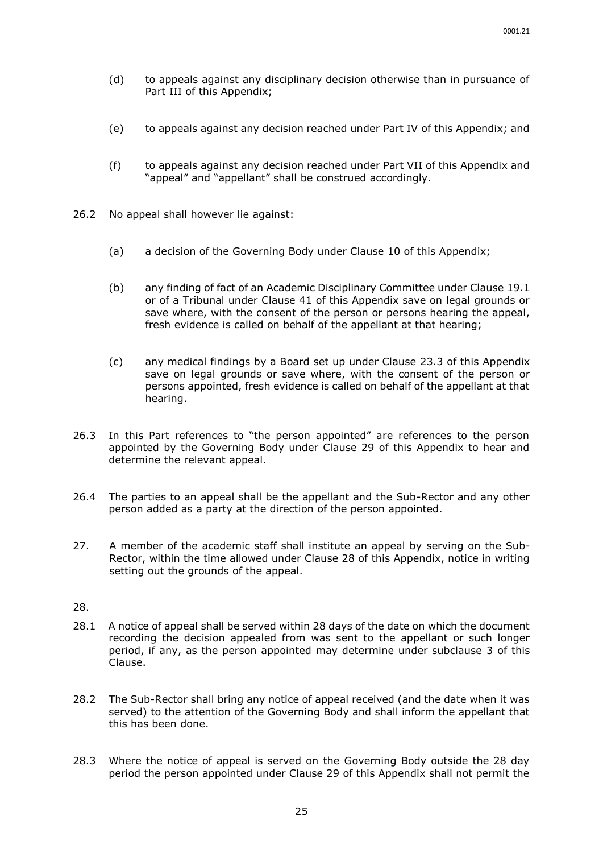- (d) to appeals against any disciplinary decision otherwise than in pursuance of Part III of this Appendix;
- (e) to appeals against any decision reached under Part IV of this Appendix; and
- (f) to appeals against any decision reached under Part VII of this Appendix and "appeal" and "appellant" shall be construed accordingly.
- 26.2 No appeal shall however lie against:
	- (a) a decision of the Governing Body under Clause 10 of this Appendix;
	- (b) any finding of fact of an Academic Disciplinary Committee under Clause 19.1 or of a Tribunal under Clause 41 of this Appendix save on legal grounds or save where, with the consent of the person or persons hearing the appeal, fresh evidence is called on behalf of the appellant at that hearing;
	- (c) any medical findings by a Board set up under Clause 23.3 of this Appendix save on legal grounds or save where, with the consent of the person or persons appointed, fresh evidence is called on behalf of the appellant at that hearing.
- 26.3 In this Part references to "the person appointed" are references to the person appointed by the Governing Body under Clause 29 of this Appendix to hear and determine the relevant appeal.
- 26.4 The parties to an appeal shall be the appellant and the Sub-Rector and any other person added as a party at the direction of the person appointed.
- 27. A member of the academic staff shall institute an appeal by serving on the Sub-Rector, within the time allowed under Clause 28 of this Appendix, notice in writing setting out the grounds of the appeal.

- 28.1 A notice of appeal shall be served within 28 days of the date on which the document recording the decision appealed from was sent to the appellant or such longer period, if any, as the person appointed may determine under subclause 3 of this Clause.
- 28.2 The Sub-Rector shall bring any notice of appeal received (and the date when it was served) to the attention of the Governing Body and shall inform the appellant that this has been done.
- 28.3 Where the notice of appeal is served on the Governing Body outside the 28 day period the person appointed under Clause 29 of this Appendix shall not permit the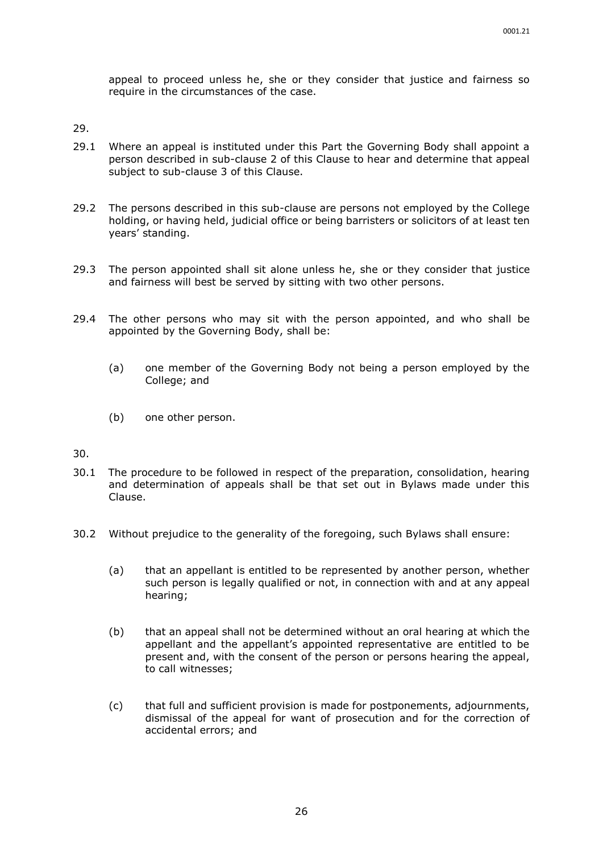appeal to proceed unless he, she or they consider that justice and fairness so require in the circumstances of the case.

29.

- 29.1 Where an appeal is instituted under this Part the Governing Body shall appoint a person described in sub-clause 2 of this Clause to hear and determine that appeal subject to sub-clause 3 of this Clause.
- 29.2 The persons described in this sub-clause are persons not employed by the College holding, or having held, judicial office or being barristers or solicitors of at least ten years' standing.
- 29.3 The person appointed shall sit alone unless he, she or they consider that justice and fairness will best be served by sitting with two other persons.
- 29.4 The other persons who may sit with the person appointed, and who shall be appointed by the Governing Body, shall be:
	- (a) one member of the Governing Body not being a person employed by the College; and
	- (b) one other person.

- 30.1 The procedure to be followed in respect of the preparation, consolidation, hearing and determination of appeals shall be that set out in Bylaws made under this Clause.
- 30.2 Without prejudice to the generality of the foregoing, such Bylaws shall ensure:
	- (a) that an appellant is entitled to be represented by another person, whether such person is legally qualified or not, in connection with and at any appeal hearing;
	- (b) that an appeal shall not be determined without an oral hearing at which the appellant and the appellant's appointed representative are entitled to be present and, with the consent of the person or persons hearing the appeal, to call witnesses;
	- (c) that full and sufficient provision is made for postponements, adjournments, dismissal of the appeal for want of prosecution and for the correction of accidental errors; and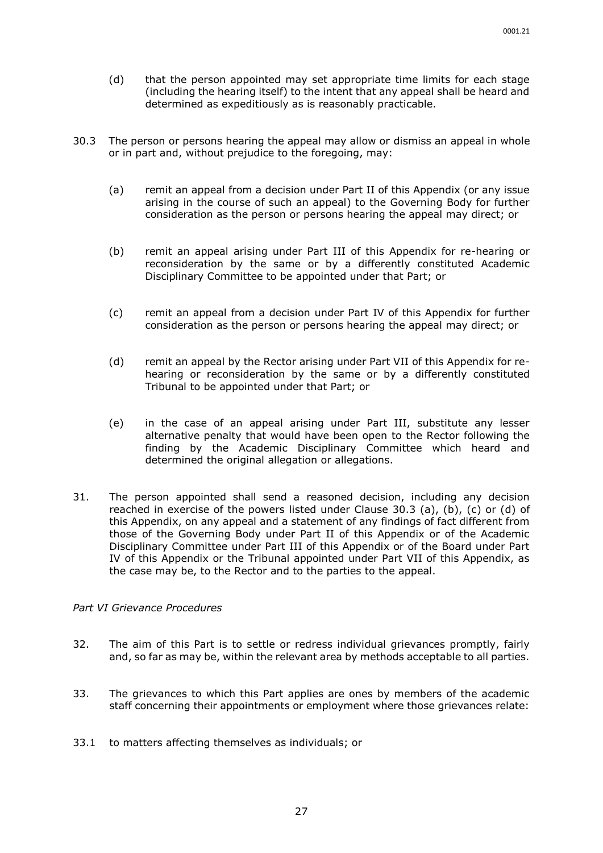- (d) that the person appointed may set appropriate time limits for each stage (including the hearing itself) to the intent that any appeal shall be heard and determined as expeditiously as is reasonably practicable.
- 30.3 The person or persons hearing the appeal may allow or dismiss an appeal in whole or in part and, without prejudice to the foregoing, may:
	- (a) remit an appeal from a decision under Part II of this Appendix (or any issue arising in the course of such an appeal) to the Governing Body for further consideration as the person or persons hearing the appeal may direct; or
	- (b) remit an appeal arising under Part III of this Appendix for re-hearing or reconsideration by the same or by a differently constituted Academic Disciplinary Committee to be appointed under that Part; or
	- (c) remit an appeal from a decision under Part IV of this Appendix for further consideration as the person or persons hearing the appeal may direct; or
	- (d) remit an appeal by the Rector arising under Part VII of this Appendix for rehearing or reconsideration by the same or by a differently constituted Tribunal to be appointed under that Part; or
	- (e) in the case of an appeal arising under Part III, substitute any lesser alternative penalty that would have been open to the Rector following the finding by the Academic Disciplinary Committee which heard and determined the original allegation or allegations.
- 31. The person appointed shall send a reasoned decision, including any decision reached in exercise of the powers listed under Clause 30.3 (a), (b), (c) or (d) of this Appendix, on any appeal and a statement of any findings of fact different from those of the Governing Body under Part II of this Appendix or of the Academic Disciplinary Committee under Part III of this Appendix or of the Board under Part IV of this Appendix or the Tribunal appointed under Part VII of this Appendix, as the case may be, to the Rector and to the parties to the appeal.

#### *Part VI Grievance Procedures*

- 32. The aim of this Part is to settle or redress individual grievances promptly, fairly and, so far as may be, within the relevant area by methods acceptable to all parties.
- 33. The grievances to which this Part applies are ones by members of the academic staff concerning their appointments or employment where those grievances relate:
- 33.1 to matters affecting themselves as individuals; or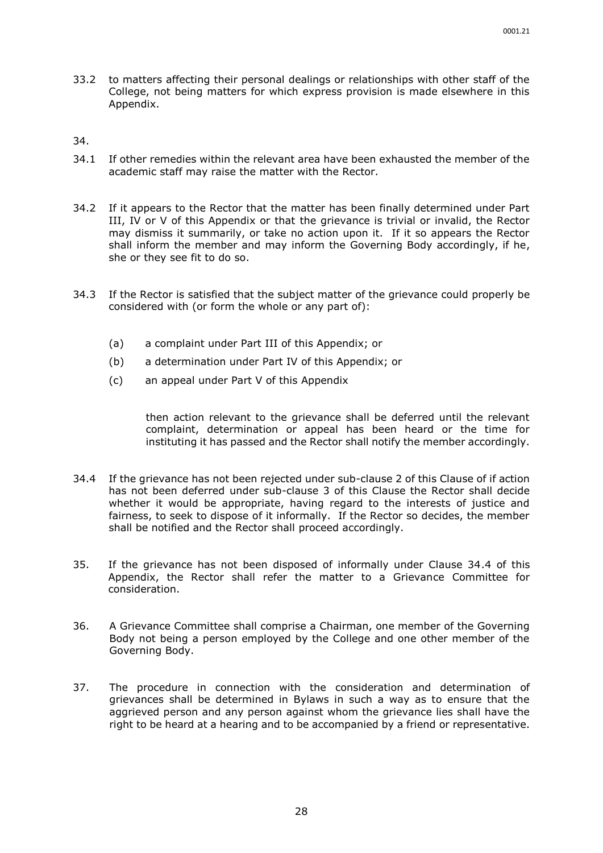- 33.2 to matters affecting their personal dealings or relationships with other staff of the College, not being matters for which express provision is made elsewhere in this Appendix.
- 34.
- 34.1 If other remedies within the relevant area have been exhausted the member of the academic staff may raise the matter with the Rector.
- 34.2 If it appears to the Rector that the matter has been finally determined under Part III, IV or V of this Appendix or that the grievance is trivial or invalid, the Rector may dismiss it summarily, or take no action upon it. If it so appears the Rector shall inform the member and may inform the Governing Body accordingly, if he, she or they see fit to do so.
- 34.3 If the Rector is satisfied that the subject matter of the grievance could properly be considered with (or form the whole or any part of):
	- (a) a complaint under Part III of this Appendix; or
	- (b) a determination under Part IV of this Appendix; or
	- (c) an appeal under Part V of this Appendix

then action relevant to the grievance shall be deferred until the relevant complaint, determination or appeal has been heard or the time for instituting it has passed and the Rector shall notify the member accordingly.

- 34.4 If the grievance has not been rejected under sub-clause 2 of this Clause of if action has not been deferred under sub-clause 3 of this Clause the Rector shall decide whether it would be appropriate, having regard to the interests of justice and fairness, to seek to dispose of it informally. If the Rector so decides, the member shall be notified and the Rector shall proceed accordingly.
- 35. If the grievance has not been disposed of informally under Clause 34.4 of this Appendix, the Rector shall refer the matter to a Grievance Committee for consideration.
- 36. A Grievance Committee shall comprise a Chairman, one member of the Governing Body not being a person employed by the College and one other member of the Governing Body.
- 37. The procedure in connection with the consideration and determination of grievances shall be determined in Bylaws in such a way as to ensure that the aggrieved person and any person against whom the grievance lies shall have the right to be heard at a hearing and to be accompanied by a friend or representative.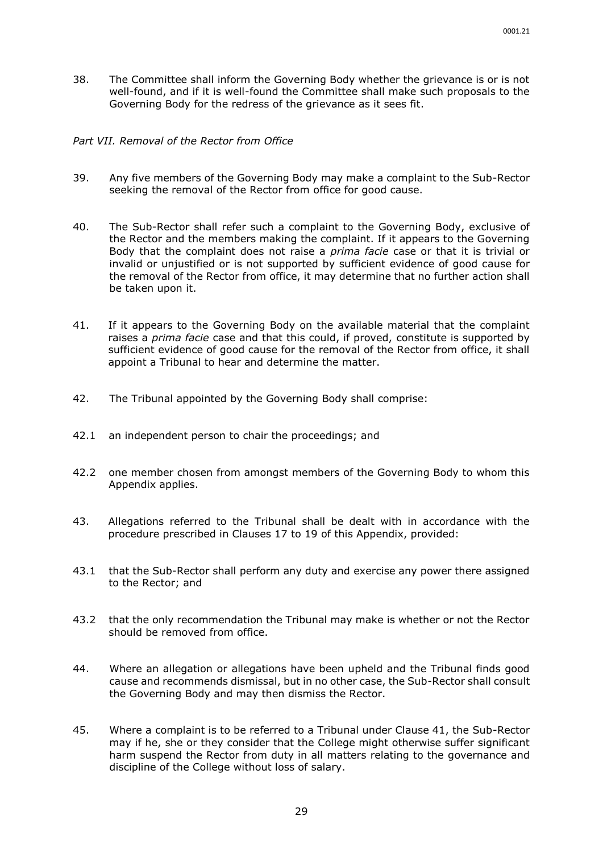38. The Committee shall inform the Governing Body whether the grievance is or is not well-found, and if it is well-found the Committee shall make such proposals to the Governing Body for the redress of the grievance as it sees fit.

#### *Part VII. Removal of the Rector from Office*

- 39. Any five members of the Governing Body may make a complaint to the Sub-Rector seeking the removal of the Rector from office for good cause.
- 40. The Sub-Rector shall refer such a complaint to the Governing Body, exclusive of the Rector and the members making the complaint. If it appears to the Governing Body that the complaint does not raise a *prima facie* case or that it is trivial or invalid or unjustified or is not supported by sufficient evidence of good cause for the removal of the Rector from office, it may determine that no further action shall be taken upon it.
- 41. If it appears to the Governing Body on the available material that the complaint raises a *prima facie* case and that this could, if proved, constitute is supported by sufficient evidence of good cause for the removal of the Rector from office, it shall appoint a Tribunal to hear and determine the matter.
- 42. The Tribunal appointed by the Governing Body shall comprise:
- 42.1 an independent person to chair the proceedings; and
- 42.2 one member chosen from amongst members of the Governing Body to whom this Appendix applies.
- 43. Allegations referred to the Tribunal shall be dealt with in accordance with the procedure prescribed in Clauses 17 to 19 of this Appendix, provided:
- 43.1 that the Sub-Rector shall perform any duty and exercise any power there assigned to the Rector; and
- 43.2 that the only recommendation the Tribunal may make is whether or not the Rector should be removed from office.
- 44. Where an allegation or allegations have been upheld and the Tribunal finds good cause and recommends dismissal, but in no other case, the Sub-Rector shall consult the Governing Body and may then dismiss the Rector.
- 45. Where a complaint is to be referred to a Tribunal under Clause 41, the Sub-Rector may if he, she or they consider that the College might otherwise suffer significant harm suspend the Rector from duty in all matters relating to the governance and discipline of the College without loss of salary.